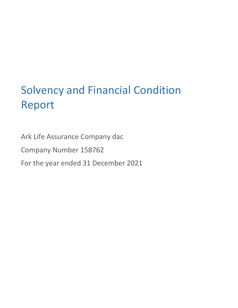# Solvency and Financial Condition Report

Ark Life Assurance Company dac

Company Number 158762

For the year ended 31 December 2021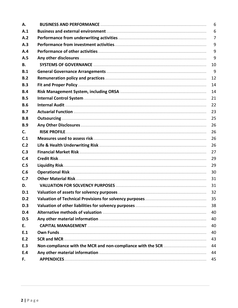| Α.             | 6              |
|----------------|----------------|
| A.1            | 6              |
| A.2            | $\overline{7}$ |
| A.3            | 9              |
| A.4            | 9              |
| A.5            | 9              |
| В.             | 10             |
| B.1            | 9              |
| B.2            | 12             |
| B.3            | 14             |
| B.4            | 14             |
| B.5            | 21             |
| <b>B.6</b>     | 22             |
| B.7            | 23             |
| <b>B.8</b>     | 25             |
| B.9            | 26             |
| C.             | 26             |
| C.1            | 26             |
| C.2            | 26             |
| C <sub>3</sub> | 27             |
| C.4            | 29             |
| C.5            | 29             |
| C.6            | 30             |
| C.7            | 31             |
| D.             | 31             |
| D.1            | 32             |
| D.2            | 35             |
| D.3            | 38             |
| D.4            | 40             |
| D.5            | 40             |
| E.             | 40             |
| E.1            | 40             |
| E.2            | 43             |
| E.3            | 44             |
| E.4            | 44             |
| F.             | 45             |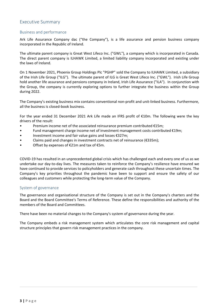# Executive Summary

## Business and performance

Ark Life Assurance Company dac ("the Company"), is a life assurance and pension business company incorporated in the Republic of Ireland.

The ultimate parent company is Great West Lifeco Inc. ("GWL"), a company which is incorporated in Canada. The direct parent company is ILHAWK Limited, a limited liability company incorporated and existing under the laws of Ireland.

On 1 November 2021, Phoenix Group Holdings Plc "PGHP" sold the Company to ILHAWK Limited, a subsidiary of the Irish Life Group ("ILG"). The ultimate parent of ILG is Great West Lifeco Inc. ("GWL"). Irish Life Group hold another life assurance and pensions company in Ireland, Irish Life Assurance ("ILA"). In conjunction with the Group, the company is currently exploring options to further integrate the business within the Group during 2022.

The Company's existing business mix contains conventional non-profit and unit-linked business. Furthermore, all the business is closed-book business.

For the year ended 31 December 2021 Ark Life made an IFRS profit of  $E10m$ . The following were the key drivers of the result:

- Premium income net of the associated reinsurance premium contributed €15m;
- Fund management charge income net of investment management costs contributed €19m;
- Investment income and fair value gains and losses  $£327m;$
- Claims paid and changes in investment contracts net of reinsurance ( $\epsilon$ 335m);
- Offset by expenses of €21m and tax of €5m.

COVID-19 has resulted in an unprecedented global crisis which has challenged each and every one of us as we undertake our day-to-day lives. The measures taken to reinforce the Company's resilience have ensured we have continued to provide services to policyholders and generate cash throughout these uncertain times. The Company's key priorities throughout the pandemic have been to support and ensure the safety of our colleagues and customers while protecting the long-term value of the Company.

## System of governance

The governance and organisational structure of the Company is set out in the Company's charters and the Board and the Board Committee's Terms of Reference. These define the responsibilities and authority of the members of the Board and Committees.

There have been no material changes to the Company's system of governance during the year.

The Company embeds a risk management system which articulates the core risk management and capital structure principles that govern risk management practices in the company.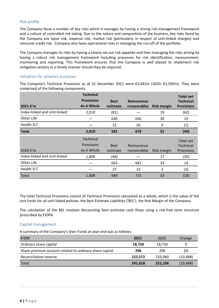## Risk profile

The Company faces a number of key risks which it manages by having a strong risk management framework and a culture of controlled risk taking. Due to the nature and composition of the business, key risks faced by the Company are lapse risk, expense risk, market risk (particularly in respect of unit-linked charges) and reinsurer credit risk. Company also faces operational risks in managing the run-off of the portfolio.

The Company manages its risks by having a clearly set out risk appetite and then managing the risks arising by having a robust risk management framework including processes for risk identification, measurement, monitoring and reporting. This framework ensures that the Company is well placed to implement risk mitigation actions in a timely manner should they be required.

## Valuation for solvency purposes

The Company's Technical Provisions as at 31 December 2021 were  $\epsilon$ 2,642m (2020:  $\epsilon$ 2,505m). They were comprised of the following components:

| 2021 €'m                     | <b>Technical</b><br><b>Provisions</b><br>As A Whole | <b>Best</b><br>estimate | <b>Reinsurance</b><br>recoverables | <b>Risk margin</b> | <b>Total net</b><br><b>Technical</b><br><b>Provisions</b> |
|------------------------------|-----------------------------------------------------|-------------------------|------------------------------------|--------------------|-----------------------------------------------------------|
| Index-linked and Unit-linked | 2,010                                               | (81)                    |                                    | 19                 | (62)                                                      |
| Other Life                   |                                                     | 640                     | 650                                | 30                 | 19                                                        |
| <b>Health SLT</b>            |                                                     | 22                      | 26                                 | 3                  | (1)                                                       |
| <b>Total</b>                 | 2,010                                               | 581                     | 676                                | 51                 | (44)                                                      |
|                              |                                                     |                         |                                    |                    |                                                           |
| 2020 €'m                     | <b>Technical</b><br>Provisions<br>As A Whole        | <b>Best</b><br>estimate | Reinsurance<br>recoverables        | Risk margin        | Total net<br><b>Technical</b><br>Provisions               |
| Index-linked and Unit-linked | 1,808                                               | (46)                    |                                    | 17                 | (30)                                                      |
| Other Life                   |                                                     | 663                     | 681                                | 33                 | 14                                                        |
| <b>Health SLT</b>            |                                                     | 27                      | 33                                 | 3                  | (3)                                                       |

The total Technical Provisions consist of Technical Provisions calculated as a whole, which is the value of the unit funds for all unit-linked policies, the Best Estimate Liabilities ('BEL'), the Risk Margin of the Company.

The calculation of the BEL involves discounting best estimate cash flows using a risk-free term structure prescribed by EIOPA.

## Capital management

A summary of the Company's Own Funds at year end was as follows:

| €'000                                                   | 2021    | 2020    | Change    |
|---------------------------------------------------------|---------|---------|-----------|
| Ordinary share capital                                  | 18.750  | 18,750  | 0         |
| Share premium account related to ordinary share capital | 296     | 296     | (0)       |
| Reconciliation reserve                                  | 222,572 | 233.060 | (10, 488) |
| Total                                                   | 241,618 | 252,106 | (10, 488) |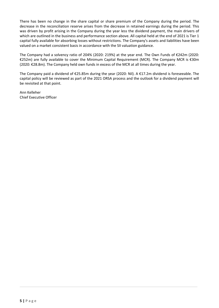There has been no change in the share capital or share premium of the Company during the period. The decrease in the reconciliation reserve arises from the decrease in retained earnings during the period. This was driven by profit arising in the Company during the year less the dividend payment, the main drivers of which are outlined in the business and performance section above. All capital held at the end of 2021 is Tier 1 capital fully available for absorbing losses without restrictions. The Company's assets and liabilities have been valued on a market consistent basis in accordance with the SII valuation guidance.

The Company had a solvency ratio of 204% (2020: 219%) at the year end. The Own Funds of €242m (2020: €252m) are fully available to cover the Minimum Capital Requirement (MCR). The Company MCR is €30m  $(2020: \text{\textsterling}28.8m)$ . The Company held own funds in excess of the MCR at all times during the year.

The Company paid a dividend of €25.85m during the year (2020: Nil). A €17.2m dividend is foreseeable. The capital policy will be reviewed as part of the 2021 ORSA process and the outlook for a dividend payment will be revisited at that point.

Ann Kelleher Chief Executive Officer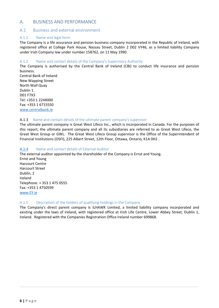# <span id="page-5-0"></span>A. BUSINESS AND PERFORMANCE

## A.1 Business and external environment

#### A.1.1 Name and legal form

The Company is a life assurance and pension business company incorporated in the Republic of Ireland, with registered office at College Park House, Nassau Street, Dublin 2 D02 VY46, as a limited liability Company under Irish Company law under number 158762, on 11 May 1990.

#### A.1.2 Name and contact details of the Company's Supervisory Authority

The Company is authorised by the Central Bank of Ireland (CBI) to conduct life insurance and pension business. 

Central Bank of Ireland New Wapping Street North Wall Quay Dublin 1. D01 F7X3 Tel: +353 1 2244000 Fax: +353 1 6715550 www.centralbank.ie

#### A.1.3 Name and contact details of the ultimate parent company's supervisor

The ultimate parent company is Great West Lifeco Inc., which is incorporated in Canada. For the purposes of this report, the ultimate parent company and all its subsidiaries are referred to as Great West Lifeco, the Great West Group or GWL. The Great West Lifeco Group supervisor is the Office of the Superintendent of Financial Institutions (OSFI), 225 Albert Street, 12th Floor, Ottawa, Ontario, K1A 0H2.

#### A.1.4 Name and contact details of External Auditor

The external auditor appointed by the shareholder of the Company is Ernst and Young. **Ernst and Young Harcourt Centre** Harcourt Street Dublin, 2 Ireland Telephone: + 353 1 475 0555 Fax: +353 1 4750599 www.EY.ie

#### A.1.5 Description of the holders of qualifying holdings in the Company

The Company's direct parent company is ILHAWK Limited, a limited liability company incorporated and existing under the laws of Ireland, with registered office at Irish Life Centre, Lower Abbey Street, Dublin 1, Ireland. Registered with the Companies Registration Office Ireland number 699868.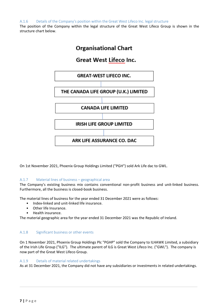<span id="page-6-0"></span>A.1.6 Details of the Company's position within the Great West Lifeco Inc. legal structure

The position of the Company within the legal structure of the Great West Lifeco Group is shown in the structure chart below.



On 1st November 2021, Phoenix Group Holdings Limited ("PGH") sold Ark Life dac to GWL.

## A.1.7 Material lines of business – geographical area

The Company's existing business mix contains conventional non-profit business and unit-linked business. Furthermore, all the business is closed-book business.

The material lines of business for the year ended 31 December 2021 were as follows:

- Index-linked and unit-linked life insurance.
- Other life Insurance.
- Health insurance.

The material geographic area for the year ended 31 December 2021 was the Republic of Ireland.

## A.1.8 Significant business or other events

On 1 November 2021, Phoenix Group Holdings Plc "PGHP" sold the Company to ILHAWK Limited, a subsidiary of the Irish Life Group ("ILG"). The ultimate parent of ILG is Great West Lifeco Inc. ("GWL"). The company is now part of the Great West Lifeco Group.

## A.1.9 Details of material related undertakings

As at 31 December 2021, the Company did not have any subsidiaries or investments in related undertakings.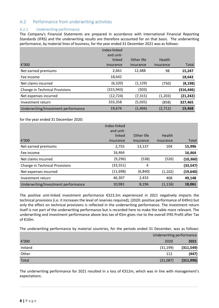# A.2 Performance from underwriting activities

## A.2.1 Underwriting performance

The Company's Financial Statements are prepared in accordance with International Financial Reporting Standards (IFRS) and the underwriting results are therefore accounted for on that basis. The underwriting performance, by material lines of business, for the year ended 31 December 2021 was as follows:

|                                       | Index-linked<br>and unit-<br>linked | Other life | Health    |           |
|---------------------------------------|-------------------------------------|------------|-----------|-----------|
| €'000                                 | insurance                           | insurance  | insurance | Total     |
| Net earned premiums                   | 2,661                               | 12,488     | 98        | 15,247    |
| Fee income                            | 18,642                              |            |           | 18,642    |
| Net claims incurred                   | (6, 320)                            | (1, 129)   | (750)     | (8, 198)  |
| <b>Change in Technical Provisions</b> | (315, 943)                          | (503)      |           | (316,446) |
| Net expenses incurred                 | (12, 724)                           | (7, 315)   | (1,203)   | (21, 242) |
| Investment return                     | 333,358                             | (5,035)    | (858)     | 327,465   |
| Underwriting/Investment performance   | 19,674                              | (1, 494)   | (2,712)   | 15,468    |

for the year ended 31 December 2020:

|                                     | Index-linked<br>and unit- |                         |                     |           |
|-------------------------------------|---------------------------|-------------------------|---------------------|-----------|
| €'000                               | linked<br>insurance       | Other life<br>insurance | Health<br>insurance | Total     |
|                                     |                           |                         |                     |           |
| Net earned premiums                 | 2,755                     | 13,137                  | 104                 | 15,996    |
| Fee income                          | 16,464                    |                         |                     | 16,464    |
| Net claims incurred                 | (9, 296)                  | (538)                   | (526)               | (10, 360) |
| Change in Technical Provisions      | (33, 551)                 | 4                       |                     | (33,547)  |
| Net expenses incurred               | (11, 698)                 | (6, 840)                | (1, 102)            | (19, 640) |
| Investment return                   | 46,307                    | 2,433                   | 408                 | 49,148    |
| Underwriting/Investment performance | 10,981                    | 8,196                   | (1, 116)            | 18,061    |

The positive unit-linked investment performance  $\epsilon$ 323.2m experienced in 2021 negatively impacts the technical provisions (i.e. it increases the level of reserves required), (2020: positive performance of €49m) but only the effect on technical provisions is reflected in the underwriting performance. The investment return itself is not part of the underwriting performance but is recorded here to make the table more relevant. The underwriting and investment performance above less tax of €5m gives rise to the overall IFRS Profit after Tax of €10m.

The underwriting performance by material countries, for the periods ended 31 December, was as follows:

|         |           | Underwriting performance |  |
|---------|-----------|--------------------------|--|
| €'000   | 2020      | 2021                     |  |
| Ireland | (31, 199) | (311,549)                |  |
| Other   | 112       | (447)                    |  |
| Total   | (31,087)  | (311,996)                |  |

The underwriting performance for 2021 resulted in a loss of  $\epsilon$ 312m, which was in line with management's expectations.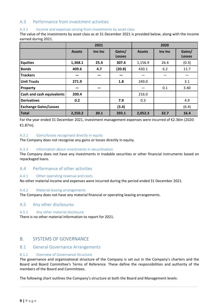# <span id="page-8-0"></span>A.3 Performance from investment activities

## A.3.1 Income and expenses arising from investments by asset class

The value of the investments by asset class as at 31 December 2021 is provided below, along with the income earned during 2021.

|                                  | 2021          |         |                         |               |         |                         |
|----------------------------------|---------------|---------|-------------------------|---------------|---------|-------------------------|
|                                  | <b>Assets</b> | Inv Inc | Gains/<br><b>Losses</b> | <b>Assets</b> | Inv Inc | Gains/<br><b>Losses</b> |
| <b>Equities</b>                  | 1,368.1       | 25.4    | 307.6                   | 1,156.9       | 26.4    | (0.3)                   |
| <b>Bonds</b>                     | 409.6         | 4.7     | (20.8)                  | 430.1         | 6.2     | 11.7                    |
| <b>Trackers</b>                  |               |         |                         |               |         |                         |
| <b>Unit Trusts</b>               | 271.9         |         | 1.8                     | 249.0         |         | 3.1                     |
| Property                         | –             |         |                         |               | 0.1     | 3.40                    |
| <b>Cash and cash equivalents</b> | 200.4         |         |                         | 216.0         |         |                         |
| <b>Derivatives</b>               | 0.2           |         | 7.9                     | 0.3           |         | 4.9                     |
| <b>Exchange Gains/Losses</b>     |               |         | (3.4)                   |               |         | (6.4)                   |
| <b>Total</b>                     | 2,250.2       | 30.1    | 293.1                   | 2,052.3       | 32.7    | 16.4                    |

For the year ended 31 December 2021, investment management expenses were incurred of  $\epsilon$ 2.36m (2020: €1.87m).

## A.3.2 Gains/losses recognised directly in equity

The Company does not recognise any gains or losses directly in equity.

## A.3.3 Information about investments in securitisation

The Company does not have any investments in tradable securities or other financial instruments based on repackaged loans.

# A.4 Performance of other activities

## A.4.1 Other operating revenue and costs

No other material income and expenses were incurred during the period ended 31 December 2021.

## A.4.2 Material leasing arrangements

The Company does not have any material financial or operating leasing arrangements.

## A.5 Any other disclosures

## A.5.1 Any other material disclosure

There is no other material information to report for 2021.

# B. SYSTEMS OF GOVERNANCE

## B.1 General Governance Arrangements

#### B.1.1 Overview of Governance Structure

The governance and organisational structure of the Company is set out in the Company's charters and the Board and Board Committee's Terms of Reference. These define the responsibilities and authority of the members of the Board and Committees.

The following chart outlines the Company's structure at both the Board and Management levels: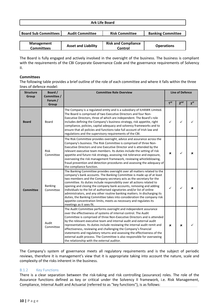| <b>Ark Life Board</b>                                                                                        |                            |                                       |                   |  |  |  |
|--------------------------------------------------------------------------------------------------------------|----------------------------|---------------------------------------|-------------------|--|--|--|
|                                                                                                              |                            |                                       |                   |  |  |  |
| <b>Board Sub Committees  </b><br><b>Banking Committee</b><br><b>Audit Committee</b><br><b>Risk Committee</b> |                            |                                       |                   |  |  |  |
|                                                                                                              |                            |                                       |                   |  |  |  |
| <b>Management</b><br><b>Committees</b>                                                                       | <b>Asset and Liability</b> | <b>Risk and Compliance</b><br>Control | <b>Operations</b> |  |  |  |

The Board is fully engaged and actively involved in the oversight of the business. The business is compliant with the requirements of the CBI Corporate Governance Code and the governance requirements of Solvency II.

## **Committees**

The following table provides a brief outline of the role of each committee and where it falls within the three lines of defence model:

| <b>Structure</b><br>Group | Board /<br>Committee /<br>Forum / | <b>Committee Role Overview</b>                                                                                                                                                                                                                                                                                                                                                                                                                                                                                                                                                                                                                                                                                   |                 | <b>Line of Defence</b> |                 |
|---------------------------|-----------------------------------|------------------------------------------------------------------------------------------------------------------------------------------------------------------------------------------------------------------------------------------------------------------------------------------------------------------------------------------------------------------------------------------------------------------------------------------------------------------------------------------------------------------------------------------------------------------------------------------------------------------------------------------------------------------------------------------------------------------|-----------------|------------------------|-----------------|
|                           | Group                             |                                                                                                                                                                                                                                                                                                                                                                                                                                                                                                                                                                                                                                                                                                                  | 1 <sup>st</sup> | 2 <sup>nd</sup>        | 3 <sup>rd</sup> |
| <b>Board</b>              | Board                             | The Company is a regulated entity and is a subsidiary of ILHAWK Limited.<br>The Board is comprised of two Executive Directors and four Non-<br>Executive Directors, three of which are independent. The Board's role<br>includes defining the Company's business strategy, risk appetite, right<br>compliance, policies, capital adequacy and solvency frameworks and to<br>ensure that all policies and functions take full account of Irish law and<br>regulations and the supervisory requirements of the CBI.                                                                                                                                                                                                | ✓               | ✓                      |                 |
|                           | <b>Risk</b><br>Committee          | The Risk Committee provides oversight, advice and assurance across the<br>Company's business. The Risk Committee is comprised of three Non-<br>Executive Directors and one Executive Director and is attended by the<br>relevant executive team members. Its duties include the setting of risk<br>appetite and future risk strategy, assessing risk tolerance and exposure,<br>overseeing the risk management framework, reviewing whistleblowing,<br>fraud prevention and detection procedures and assessing the adequacy of<br>the compliance function.                                                                                                                                                       | ×               | ✓                      |                 |
| <b>Committee</b>          | <b>Banking</b><br>Committee       | The Banking Committee provides oversight over all matters related to the<br>company's bank accounts. The Banking Committee is made up of at least<br>two members and the Company secretary acts as the secretary for the<br>committee. Its duties include responsibility over all actions related to<br>opening and closing the company bank accounts, removing and adding<br>individuals to the list of authorised signatories and/or list of online<br>administrators, and any other routine banking matters. In discharging its<br>duties, the Banking Committee takes into consideration the company risk<br>appetite concentration limits, meets as necessary and regulates its<br>meetings as it sees fit. | ✓               | ✓                      |                 |
|                           | Audit<br>Committee                | The Audit Committee performs oversight and independent assurance<br>over the effectiveness of systems of internal control. The Audit<br>Committee is comprised of three Non-Executive Directors and is attended<br>by the relevant executive team and internal audit and external audit<br>representatives. Its duties include reviewing the internal audit remit and<br>effectiveness, reviewing and challenging the Company's financial<br>statements and regulatory returns and assessing the effectiveness of the<br>external audit process. The Committee is also responsible for overseeing<br>the relationship with the external auditor.                                                                 | x               | $\mathbf x$            |                 |

The Company's system of governance meets all regulatory requirements and is the subject of periodic reviews, therefore it is management's view that it is appropriate taking into account the nature, scale and complexity of the risks inherent in the business.

## B.1.2 Key Functions

There is a clear separation between the risk-taking and risk controlling (assurance) roles. The role of the Assurance functions defined as key or critical under the Solvency II framework, i.e. Risk Management, Compliance, Internal Audit and Actuarial (referred to as "key functions"), is as follows: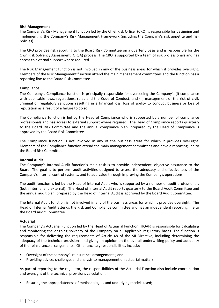#### **Risk Management**

The Company's Risk Management function led by the Chief Risk Officer (CRO) is responsible for designing and implementing the Company's Risk Management Framework (including the Company's risk appetite and risk policies).

The CRO provides risk reporting to the Board Risk Committee on a quarterly basis and is responsible for the Own Risk Solvency Assessment (ORSA) process. The CRO is supported by a team of risk professionals and has access to external support where required.

The Risk Management function is not involved in any of the business areas for which it provides oversight. Members of the Risk Management function attend the main management committees and the function has a reporting line to the Board Risk Committee.

#### **Compliance**

The Company's Compliance function is principally responsible for overseeing the Company's (i) compliance with applicable laws, regulations, rules and the Code of Conduct, and (ii) management of the risk of civil, criminal or regulatory sanctions resulting in a financial loss, loss of ability to conduct business or loss of reputation as a result of a failure to do so.

The Compliance function is led by the Head of Compliance who is supported by a number of compliance professionals and has access to external support where required. The Head of Compliance reports quarterly to the Board Risk Committee and the annual compliance plan, prepared by the Head of Compliance is approved by the Board Risk Committee.

The Compliance function is not involved in any of the business areas for which it provides oversight. Members of the Compliance function attend the main management committees and have a reporting line to the Board Risk Committee.

#### **Internal Audit**

The Company's Internal Audit function's main task is to provide independent, objective assurance to the Board. The goal is to perform audit activities designed to assess the adequacy and effectiveness of the Company's internal control systems, and to add value through improving the Company's operations.

The audit function is led by the Head of Internal Audit who is supported by a number of audit professionals (both internal and external). The Head of Internal Audit reports quarterly to the Board Audit Committee and the annual audit plan, prepared by the Head of Internal Audit is approved by the Board Audit Committee.

The Internal Audit function is not involved in any of the business areas for which it provides oversight. The Head of Internal Audit attends the Risk and Compliance committee and has an independent reporting line to the Board Audit Committee.

#### **Actuarial**

The Company's Actuarial Function led by the Head of Actuarial Function (HOAF) is responsible for calculating and monitoring the ongoing solvency of the Company on all applicable regulatory bases. The function is responsible for delivering the requirements of Article 48 of the SII Directive, including determining the adequacy of the technical provisions and giving an opinion on the overall underwriting policy and adequacy of the reinsurance arrangements. Other ancillary responsibilities include;

- Oversight of the company's reinsurance arrangements; and
- Providing advice, challenge, and analysis to management on actuarial matters

As part of reporting to the regulator, the responsibilities of the Actuarial Function also include coordination and oversight of the technical provisions calculation:

Ensuring the appropriateness of methodologies and underlying models used;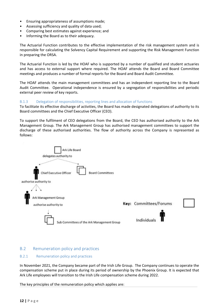- <span id="page-11-0"></span>• Ensuring appropriateness of assumptions made;
- Assessing sufficiency and quality of data used;
- Comparing best estimates against experience; and
- Informing the Board as to their adequacy.

The Actuarial Function contributes to the effective implementation of the risk management system and is responsible for calculating the Solvency Capital Requirement and supporting the Risk Management Function in preparing the ORSA.

The Actuarial Function is led by the HOAF who is supported by a number of qualified and student actuaries and has access to external support where required. The HOAF attends the Board and Board Committee meetings and produces a number of formal reports for the Board and Board Audit Committee.

The HOAF attends the main management committees and has an independent reporting line to the Board Audit Committee. Operational independence is ensured by a segregation of responsibilities and periodic external peer review of key reports.

## B.1.3 Delegation of responsibilities, reporting lines and allocation of functions

To facilitate its effective discharge of activities, the Board has made designated delegations of authority to its Board committees and the Chief Executive Officer (CEO).

To support the fulfilment of CEO delegations from the Board, the CEO has authorised authority to the Ark Management Group. The Ark Management Group has authorised management committees to support the discharge of these authorised authorities. The flow of authority across the Company is represented as follows:



# B.2 Remuneration policy and practices

## B.2.1 Remuneration policy and practices

In November 2021, the Company became part of the Irish Life Group. The Company continues to operate the compensation scheme put in place during its period of ownership by the Phoenix Group. It is expected that Ark Life employees will transition to the Irish Life compensation scheme during 2022.

The key principles of the remuneration policy which applies are: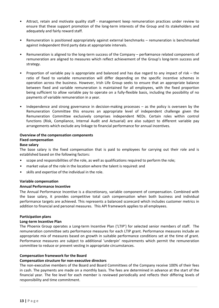- Attract, retain and motivate quality staff management keep remuneration practices under review to ensure that these support promotion of the long-term interests of the Group and its stakeholders and adequately and fairly reward staff.
- Remuneration is positioned appropriately against external benchmarks remuneration is benchmarked against independent third party data at appropriate intervals.
- Remuneration is aligned to the long-term success of the Company performance related components of remuneration are aligned to measures which reflect achievement of the Group's long-term success and strategy.
- Proportion of variable pay is appropriate and balanced and has due regard to any impact of risk  $-$  the ratio of fixed to variable remuneration will differ depending on the specific incentive schemes in operation across the business. However, Irish Life Group seeks to ensure that an appropriate balance between fixed and variable remuneration is maintained for all employees, with the fixed proportion being sufficient to allow variable pay to operate on a fully-flexible basis, including the possibility of no payments of variable remuneration in a year.
- Independence and strong governance in decision-making processes as the policy is overseen by the Remuneration Committee this ensures an appropriate level of independent challenge given the Remuneration Committee exclusively comprises independent NEDs. Certain roles within control functions (Risk, Compliance, Internal Audit and Actuarial) are also subject to different variable pay arrangements which exclude any linkage to financial performance for annual incentives.

# **Overview of the compensation components**

## **Fixed compensation**

## **Base salary**

The base salary is the fixed compensation that is paid to employees for carrying out their role and is established based on the following factors:

- scope and responsibilities of the role, as well as qualifications required to perform the role;
- market value of the role in the location where the talent is required: and
- skills and expertise of the individual in the role.

## **Variable compensation**

## **Annual Performance Incentive**

The Annual Performance Incentive is a discretionary, variable component of compensation. Combined with the base salary, it provides competitive total cash compensation when both business and individual performance targets are achieved. This represents a balanced scorecard which includes customer metrics in addition to financial and personal measures. This API framework applies to all employees.

## **Participation plans**

## **Long-term Incentive Plan**

The Phoenix Group operates a Long-term Incentive Plan ('LTIP') for selected senior members of staff. The remuneration committee sets performance measures for each LTIP grant. Performance measures include an appropriate mix of measures based on growth in suitable performance conditions set at the time of grant. Performance measures are subject to additional 'underpin' requirements which permit the remuneration committee to reduce or prevent vesting in appropriate circumstances.

## **Compensation framework for the Board**

## **Compensation structure for non-executive directors**

The non-executive members of the Board and Board Committees of the Company receive 100% of their fees in cash. The payments are made on a monthly basis. The fees are determined in advance at the start of the financial year. The fee level for each member is reviewed periodically and reflects their differing levels of responsibility and time commitment.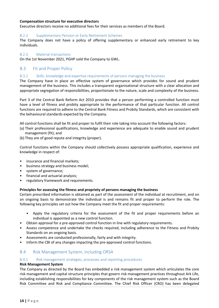## <span id="page-13-0"></span>**Compensation structure for executive directors**

Executive directors receive no additional fees for their services as members of the Board.

#### B.2.2 Supplementary Pension or Early Retirement Schemes

The Company does not have a policy of offering supplementary or enhanced early retirement to key individuals.

#### B.2.3 Material transactions

On the 1st November 2021, PGHP sold the Company to GWL.

## B.3 Fit and Proper Policy

#### B.3.1 Skills, knowledge and expertise requirements of persons managing the business

The Company have in place an effective system of governance which provides for sound and prudent management of the business. This includes a transparent organisational structure with a clear allocation and appropriate segregation of responsibilities, proportionate to the nature, scale and complexity of the business.

Part 3 of the Central Bank Reform Act 2010 provides that a person performing a controlled function must have a level of fitness and probity appropriate to the performance of that particular function. All control functions are required to adhere to the Central Bank Fitness and Probity Standards, which are consistent with the behavioural standards expected by the Company.

All control functions shall be fit and proper to fulfil their role taking into account the following factors:

- (a) Their professional qualifications, knowledge and experience are adequate to enable sound and prudent management (fit); and
- (b) They are of good repute and integrity (proper).

Control functions within the Company should collectively possess appropriate qualification, experience and knowledge in respect of:

- insurance and financial markets;
- business strategy and business model;
- system of governance;
- financial and actuarial analysis;
- regulatory framework and requirements.

## **Principles for assessing the fitness and propriety of persons managing the business**

Certain prescribed information is obtained as part of the assessment of the individual at recruitment, and on an ongoing basis to demonstrate the individual is and remains fit and proper to perform the role. The following key principles set out how the Company meet the fit and proper requirements:

- Apply the regulatory criteria for the assessment of the fit and proper requirements before an individual is appointed as a new control function.
- Obtain approval for a pre-approved control function in line with regulatory requirements.
- Assess competence and undertake the checks required, including adherence to the Fitness and Probity Standards on an ongoing basis.
- Assessments are conducted professionally, fairly and with integrity.
- Inform the CBI of any changes impacting the pre-approved control functions.

## B.4 Risk Management System, including ORSA

#### B.4.1 Risk management strategies, processes and reporting procedures

#### **Risk Management System**

The Company as directed by the Board has embedded a risk management system which articulates the core risk management and capital structure principles that govern risk management practices throughout Ark Life, including establishing responsibilities for key components of the risk management system such as the Board Risk Committee and Risk and Compliance Committee. The Chief Risk Officer (CRO) has been delegated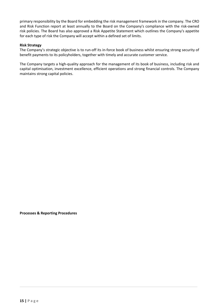primary responsibility by the Board for embedding the risk management framework in the company. The CRO and Risk Function report at least annually to the Board on the Company's compliance with the risk-owned risk policies. The Board has also approved a Risk Appetite Statement which outlines the Company's appetite for each type of risk the Company will accept within a defined set of limits.

## **Risk Strategy**

The Company's strategic objective is to run-off its in-force book of business whilst ensuring strong security of benefit payments to its policyholders, together with timely and accurate customer service.

The Company targets a high-quality approach for the management of its book of business, including risk and capital optimisation, investment excellence, efficient operations and strong financial controls. The Company maintains strong capital policies.

**Processes & Reporting Procedures**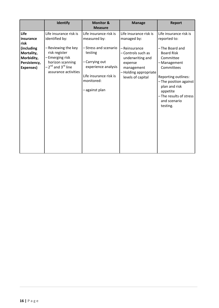|                                                                                                  | Identify                                                                                                                                                                                   | <b>Monitor &amp;</b><br><b>Measure</b>                                                                                                                                    | <b>Manage</b>                                                                                                                                                          | <b>Report</b>                                                                                                                                                                                                                                               |
|--------------------------------------------------------------------------------------------------|--------------------------------------------------------------------------------------------------------------------------------------------------------------------------------------------|---------------------------------------------------------------------------------------------------------------------------------------------------------------------------|------------------------------------------------------------------------------------------------------------------------------------------------------------------------|-------------------------------------------------------------------------------------------------------------------------------------------------------------------------------------------------------------------------------------------------------------|
| Life<br>insurance<br>risk<br>(including<br>Mortality,<br>Morbidity,<br>Persistency,<br>Expenses) | Life insurance risk is<br>identified by:<br>-Reviewing the key<br>risk register<br>-Emerging risk<br>horizon scanning<br>-2 <sup>nd</sup> and 3 <sup>rd</sup> line<br>assurance activities | Life insurance risk is<br>measured by:<br>-Stress and scenario<br>testing<br>Carrying out<br>experience analysis<br>Life insurance risk is<br>monitored:<br>-against plan | Life insurance risk is<br>managed by:<br>– Reinsurance<br>- Controls such as<br>underwriting and<br>expense<br>management<br>-Holding appropriate<br>levels of capital | Life insurance risk is<br>reported to:<br>-The Board and<br><b>Board Risk</b><br>Committee<br>- Management<br>Committees<br>Reporting outlines:<br>-The position against<br>plan and risk<br>appetite<br>-The results of stress<br>and scenario<br>testing. |
|                                                                                                  |                                                                                                                                                                                            |                                                                                                                                                                           |                                                                                                                                                                        |                                                                                                                                                                                                                                                             |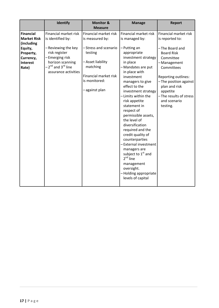|                                                                                                                       | Identify                                                                                                                                                                                      | <b>Monitor &amp;</b><br><b>Measure</b>                                                                                                                                  | <b>Manage</b>                                                                                                                                                                                                                                                                                                                                                                                                                                                                                                                                                                            | <b>Report</b>                                                                                                                                                                                                                                                |
|-----------------------------------------------------------------------------------------------------------------------|-----------------------------------------------------------------------------------------------------------------------------------------------------------------------------------------------|-------------------------------------------------------------------------------------------------------------------------------------------------------------------------|------------------------------------------------------------------------------------------------------------------------------------------------------------------------------------------------------------------------------------------------------------------------------------------------------------------------------------------------------------------------------------------------------------------------------------------------------------------------------------------------------------------------------------------------------------------------------------------|--------------------------------------------------------------------------------------------------------------------------------------------------------------------------------------------------------------------------------------------------------------|
| <b>Financial</b><br><b>Market Risk</b><br>(including<br>Equity,<br>Property,<br>Currency,<br><b>Interest</b><br>Rate) | Financial market risk<br>is identified by:<br>– Reviewing the key<br>risk register<br>-Emerging risk<br>horizon scanning<br>-2 <sup>nd</sup> and 3 <sup>rd</sup> line<br>assurance activities | Financial market risk<br>is measured by:<br>-Stress and scenario<br>testing<br>- Asset liability<br>matching<br>Financial market risk<br>is monitored:<br>-against plan | Financial market risk<br>is managed by:<br>-Putting an<br>appropriate<br>investment strategy<br>in place<br>- Mandates are put<br>in place with<br>investment<br>managers to give<br>effect to the<br>investment strategy<br>- Limits within the<br>risk appetite<br>statement in<br>respect of<br>permissible assets,<br>the level of<br>diversification<br>required and the<br>credit quality of<br>counterparties<br>-External investment<br>managers are<br>subject to 1 <sup>st</sup> and<br>$2^{nd}$ line<br>management<br>oversight.<br>-Holding appropriate<br>levels of capital | Financial market risk<br>is reported to:<br>-The Board and<br><b>Board Risk</b><br>Committee<br>-Management<br>Committees<br>Reporting outlines:<br>-The position against<br>plan and risk<br>appetite<br>-The results of stress<br>and scenario<br>testing. |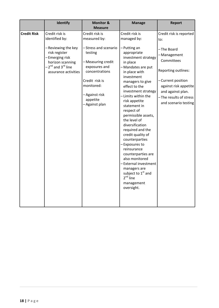|                    | Identify                                                                                                                                                                           | <b>Monitor &amp;</b><br><b>Measure</b>                                                                                                                                                                     | <b>Manage</b>                                                                                                                                                                                                                                                                                                                                                                                                                                                                                                                                                                                           | <b>Report</b>                                                                                                                                                                                                           |
|--------------------|------------------------------------------------------------------------------------------------------------------------------------------------------------------------------------|------------------------------------------------------------------------------------------------------------------------------------------------------------------------------------------------------------|---------------------------------------------------------------------------------------------------------------------------------------------------------------------------------------------------------------------------------------------------------------------------------------------------------------------------------------------------------------------------------------------------------------------------------------------------------------------------------------------------------------------------------------------------------------------------------------------------------|-------------------------------------------------------------------------------------------------------------------------------------------------------------------------------------------------------------------------|
| <b>Credit Risk</b> | Credit risk is<br>identified by:<br>-Reviewing the key<br>risk register<br>-Emerging risk<br>horizon scanning<br>-2 <sup>nd</sup> and 3 <sup>rd</sup> line<br>assurance activities | Credit risk is<br>measured by:<br>-Stress and scenario<br>testing<br>- Measuring credit<br>exposures and<br>concentrations<br>Credit risk is<br>monitored:<br>- Against risk<br>appetite<br>- Against plan | Credit risk is<br>managed by:<br>-Putting an<br>appropriate<br>investment strategy<br>in place<br>- Mandates are put<br>in place with<br>investment<br>managers to give<br>effect to the<br>investment strategy<br>- Limits within the<br>risk appetite<br>statement in<br>respect of<br>permissible assets,<br>the level of<br>diversification<br>required and the<br>credit quality of<br>counterparties<br>- Exposures to<br>reinsurance<br>counterparties are<br>also monitored<br>-External investment<br>managers are<br>subject to 1 <sup>st</sup> and<br>$2nd$ line<br>management<br>oversight. | Credit risk is reported<br>to:<br>-The Board<br>-Management<br>Committees<br>Reporting outlines:<br>- Current position<br>against risk appetite<br>and against plan.<br>- The results of stress<br>and scenario testing |
|                    |                                                                                                                                                                                    |                                                                                                                                                                                                            |                                                                                                                                                                                                                                                                                                                                                                                                                                                                                                                                                                                                         |                                                                                                                                                                                                                         |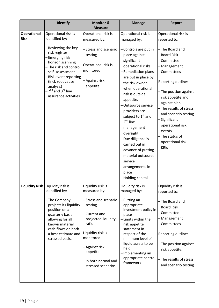|                                   | Identify                                                                                                                                                                                                                                                                                       | <b>Monitor &amp;</b><br><b>Measure</b>                                                                                                                                                                                               | <b>Manage</b>                                                                                                                                                                                                                                                                                                                                                                                                                                                                                            | <b>Report</b>                                                                                                                                                                                                                                                                                                                                                   |
|-----------------------------------|------------------------------------------------------------------------------------------------------------------------------------------------------------------------------------------------------------------------------------------------------------------------------------------------|--------------------------------------------------------------------------------------------------------------------------------------------------------------------------------------------------------------------------------------|----------------------------------------------------------------------------------------------------------------------------------------------------------------------------------------------------------------------------------------------------------------------------------------------------------------------------------------------------------------------------------------------------------------------------------------------------------------------------------------------------------|-----------------------------------------------------------------------------------------------------------------------------------------------------------------------------------------------------------------------------------------------------------------------------------------------------------------------------------------------------------------|
| <b>Operational</b><br><b>Risk</b> | Operational risk is<br>identified by:<br>-Reviewing the key<br>risk register<br>-Emerging risk<br>horizon scanning<br>-The risk and control<br>self-assessment<br>-Risk event reporting<br>(incl. root cause<br>analysis)<br>-2 <sup>nd</sup> and 3 <sup>rd</sup> line<br>assurance activities | Operational risk is<br>measured by:<br>-Stress and scenario<br>testing<br>Operational risk is<br>monitored:<br>- Against risk<br>appetite                                                                                            | Operational risk is<br>managed by:<br>- Controls are put in<br>place against<br>significant<br>operational risks<br>-Remediation plans<br>are put in place by<br>the risk owner<br>when operational<br>risk is outside<br>appetite.<br>-Outsource service<br>providers are<br>subject to 1 <sup>st</sup> and<br>$2^{nd}$ line<br>management<br>oversight.<br>- Due diligence is<br>carried out in<br>advance of putting<br>material outsource<br>service<br>arrangements in<br>place<br>-Holding capital | Operational risk is<br>reported to:<br>-The Board and<br><b>Board Risk</b><br>Committee<br>-Management<br>Committees<br>Reporting outlines:<br>-The position against<br>risk appetite and<br>against plan.<br>-The results of stress<br>and scenario testing<br>-Significant<br>operational risk<br>events<br>-The status of<br>operational risk<br><b>KRIs</b> |
|                                   | Liquidity Risk   Liquidity risk is<br>identified by:<br>-The Company<br>projects its liquidity<br>position on a<br>quarterly basis<br>allowing for all<br>known material<br>cash-flows on both<br>a best estimate and<br>stressed basis.                                                       | Liquidity risk is<br>measured by:<br>-Stress and scenario<br>testing<br>- Current and<br>projected liquidity<br>ratio<br>Liquidity risk is<br>monitored:<br>– Against risk<br>appetite<br>- In both normal and<br>stressed scenarios | Liquidity risk is<br>managed by:<br>-Putting an<br>appropriate<br>investment policy in<br>place<br>- Limits within the<br>risk appetite<br>statement in<br>respect of the<br>minimum level of<br>liquid assets to be<br>held.<br>-Implementing an<br>appropriate control<br>framework                                                                                                                                                                                                                    | Liquidity risk is<br>reported to:<br>-The Board and<br><b>Board Risk</b><br>Committee<br>-Management<br>Committees<br>Reporting outlines:<br>-The position against<br>risk appetite.<br>-The results of stress<br>and scenario testing                                                                                                                          |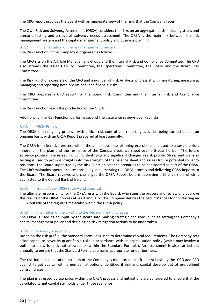The CRO report provides the Board with an aggregate view of the risks that the Company faces.

The Own Risk and Solvency Assessment (ORSA) considers the risks on an aggregate basis including stress and scenario testing and an overall solvency needs assessment. The ORSA is the main link between the risk management system and the capital management policy and business planning.

B.4.2 Implementation of the risk management function

The Risk Function in the Company is organised as follows:

The CRO sits on the Ark Life Management Group and the internal Risk and Compliance Committee. The CRO also attends the Asset Liability Committee, the Operations Committee, the Board and the Board Risk Committee. 

The Risk Functions consists of the CRO and a number of Risk Analysts who assist with monitoring, measuring, managing and reporting both operational and financial risks.

The CRO prepares a CRO report for the Board Risk Committee and the internal Risk and Compliance Committee.

The Risk Function leads the production of the ORSA.

Additionally, the Risk Function performs second line assurance reviews over key risks.

## B.4.3 ORSA Process

The ORSA is an ongoing process, with critical risk control and reporting activities being carried out on an ongoing basis, with an ORSA Report prepared at least annually.

The ORSA is an iterative process within the annual business planning exercise and is used to assess the risks inherent in the plan and the resilience of the Company balance sheet over a 5-year horizon. The future solvency position is assessed including identifying any significant changes in risk profile. Stress and scenario testing is used to provide insights into the strength of the balance sheet and assess future potential solvency positions. The Board supported by the Risk Function sets the scenarios to be considered as part of the ORSA. The CRO maintains operational responsibility implementing the ORSA process and delivering ORSA Reports to the Board. The Board reviews and challenges the ORSA Report before approving a final version which is submitted to the Central Bank of Ireland.

## B.4.4 Frequency of ORSA review and approval

The ultimate responsibility for the ORSA rests with the Board, who steer the process and review and approve the results of the ORSA process at least annually. The Company defines the circumstances for conducting an ORSA outside of the regular time-scales within the ORSA policy.

## B.4.5 Integration of the ORSA into the decision-making process

The ORSA is used as an input by the Board into making strategic decisions, such as setting the Company's capital management policy and deciding on risk mitigation actions to be undertaken.

## B.4.6 Solvency assessment

Based on the risk profile, the Standard Formula is used to determine capital requirements. The Company sets aside capital to cover its quantifiable risks in accordance with its capitalisation policy (which may involve a buffer to allow for risk not allowed for within the Standard Formula). An assessment is also carried out annually to ensure that the Standard Formula remains appropriate for our business.

The risk-based capitalisation position of the Company is monitored on a frequent basis by the CRO and CFO against target capital with a number of options identified if risk and capital develop out of pre-defined control ranges.

The plan is stressed by scenarios within the ORSA process and mitigations are considered to ensure that the calculated target capital still holds under those scenarios.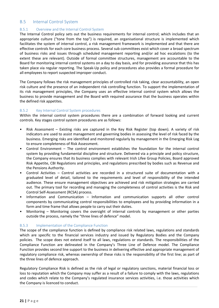# <span id="page-20-0"></span>B.5 Internal Control System

## B.5.1 Overview and the Internal Control System

The Internal Control policy sets out the business requirements for internal control; which includes that an appropriate culture ("tone from the top") is required, an organisational structure is implemented which facilitates the system of internal control, a risk management framework is implemented and that there are effective controls for each core business process. Several sub committees exist which cover a broad spectrum of business risks and issues through scheduled management reporting and/or ad hoc escalations (to the extent these are relevant). Outside of formal committee structures, management are accountable to the Board for monitoring internal control systems on a day to day basis, and for providing assurance that this has taken place via regular reporting. The Speak-Up policy and procedures also provides a formal procedure for all employees to report suspected improper conduct.

The Company follows the risk management principles of controlled risk taking, clear accountability, an open risk culture and the presence of an independent risk controlling function. To support the implementation of its risk management principles, the Company uses an effective internal control system which allows the business to provide management and the Board with required assurance that the business operates within the defined risk appetites.

## B.5.2 Key Internal Control System procedures

Within the internal control system procedures there are a combination of forward looking and current controls. Key stages control system procedures are as follows:

- Risk Assessment Existing risks are captured in the Key Risk Register (top down). A variety of risk indicators are used to assist management and governing bodies in assessing the level of risk faced by the business. Emerging risks are identified and monitored regularly by management in the Emerging Risk Log to ensure completeness of Risk Assessment.
- Control Environment  $-$  The control environment establishes the foundation for the internal control system by providing fundamental discipline and structure. Delivered via a principle and policy structure, the Company ensures that its business complies with relevant Irish Lifee Group Policies, Board approved Risk Appetite, CBI Regulations and principles, and regulations prescribed by bodies such as Revenue and the Pensions Authority.
- Control Activities Control activities are recorded in a structured suite of documentation with a graduated level of detail, tailored to the requirements and level of responsibility of the intended audience. These ensure management objectives are achieved and risk mitigation strategies are carried out. The primary tool for recording and managing the completeness of control activities is the Risk and Control Self-Assessment (RCSA) process.
- Information and Communication Information and communication supports all other control components by communicating control responsibilities to employees and by providing information in a form and time frame that allows people to carry out their duties.
- Monitoring  $-$  Monitoring covers the oversight of internal controls by management or other parties outside the process, namely the "three lines of defence" model.

## B.5.3 Implementation of the Compliance Function

The scope of the compliance function is defined by compliance risk related laws, regulations and standards which are specific to the financial services industry and issued by Regulatory Bodies and the Company policies. The scope does not extend itself to all laws, regulations or standards. The responsibilities of the Compliance Function are delineated in the Company's Three Line of Defence model. The Compliance Function provides second line support to the business in delivering effective and appropriate management of regulatory compliance risk, whereas ownership of these risks is the responsibility of the first line; as part of the three lines of defence approach.

Regulatory Compliance Risk is defined as the risk of legal or regulatory sanctions, material financial loss or loss to reputation which the Company may suffer as a result of a failure to comply with the laws, regulations and codes which relate to the Company's regulated insurance services activities, i.e. those activities which the Company is licenced to conduct.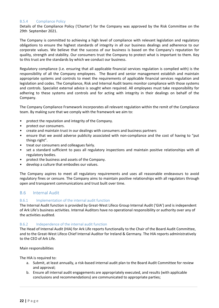## <span id="page-21-0"></span>B.5.4 Compliance Policy

Details of the Compliance Policy ('Charter') for the Company was approved by the Risk Committee on the 29th September 2021.

The Company is committed to achieving a high level of compliance with relevant legislation and regulatory obligations to ensure the highest standards of integrity in all our business dealings and adherence to our corporate values. We believe that the success of our business is based on the Company's reputation for quality, strength and stability. Our consumers trust the Company to protect what is important to them. Key to this trust are the standards by which we conduct our business.

Regulatory compliance (i.e. ensuring that all applicable financial services regulation is complied with) is the responsibility of all the Company employees. The Board and senior management establish and maintain appropriate systems and controls to meet the requirements of applicable financial services regulation and legislation and codes. The Compliance, Risk and Internal Audit teams monitor compliance with those systems and controls. Specialist external advice is sought when required. All employees must take responsibility for adhering to these systems and controls and for acting with integrity in their dealings on behalf of the Company.

The Company Compliance Framework incorporates all relevant regulation within the remit of the Compliance team. By making sure that we comply with the framework we aim to:

- protect the reputation and integrity of the Company.
- protect our consumers.
- create and maintain trust in our dealings with consumers and business partners
- ensure that we avoid adverse publicity associated with non-compliance and the cost of having to "put things right".
- treat our consumers and colleagues fairly.
- set a standard sufficient to pass all regulatory inspections and maintain positive relationships with all regulatory bodies.
- protect the business and assets of the Company.
- develop a culture that embodies our values.

The Company aspires to meet all regulatory requirements and uses all reasonable endeavours to avoid regulatory fines or censure. The Company aims to maintain positive relationships with all regulators through open and transparent communications and trust built over time.

## B.6 Internal Audit

## B.6.1 Implementation of the internal audit function

The Internal Audit function is provided by Great-West Lifeco Group Internal Audit ('GIA') and is independent of Ark Life's business activities. Internal Auditors have no operational responsibility or authority over any of the activities audited.

## B.6.2 Independence of the internal audit function

The Head of Internal Audit (HIA) for Ark Life reports functionally to the Chair of the Board Audit Committee, and to the Great-West Lifeco Chief Internal Auditor for Ireland & Germany. The HIA reports administratively to the CEO of Ark Life.

Main responsibilities

The HIA is required to:

- a. Submit, at least annually, a risk-based internal audit plan to the Board Audit Committee for review and approval;
- b. Ensure all internal audit engagements are appropriately executed, and results (with applicable conclusions and recommendations) are communicated to appropriate parties;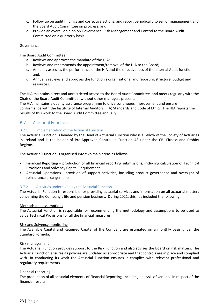- <span id="page-22-0"></span>c. Follow up on audit findings and corrective actions, and report periodically to senior management and the Board Audit Committee on progress; and,
- d. Provide an overall opinion on Governance, Risk Management and Control to the Board Audit Committee on a quarterly basis.

#### Governance

The Board Audit Committee:

- a. Reviews and approves the mandate of the HIA;
- b. Reviews and recommends the appointment/removal of the HIA to the Board;
- c. Annually assesses the performance of the HIA and the effectiveness of the Internal Audit function; and,
- d. Annually reviews and approves the function's organisational and reporting structure, budget and resources.

The HIA maintains direct and unrestricted access to the Board Audit Committee, and meets regularly with the Chair of the Board Audit Committee, without other managers present.

The HIA maintains a quality assurance programme to drive continuous improvement and ensure conformance with the Institute of Internal Auditors' (IIA) Standards and Code of Ethics. The HIA reports the results of this work to the Board Audit Committee annually.

# B.7 Actuarial Function

## B.7.1 Implementation of the Actuarial Function

The Actuarial Function is headed by the Head of Actuarial Function who is a Fellow of the Society of Actuaries in Ireland and is the holder of Pre-Approved Controlled Function 48 under the CBI Fitness and Probity Regime.

The Actuarial Function is organised into two main areas as follows:

- Financial Reporting production of all financial reporting submissions, including calculation of Technical Provisions and Solvency Capital Requirement.
- Actuarial Operations provision of support activities, including product governance and oversight of reinsurance arrangements.

## B.7.2 Activities undertaken by the Actuarial Function

The Actuarial Function is responsible for providing actuarial services and information on all actuarial matters concerning the Company's life and pension business. During 2021, this has included the following:

## Methods and assumptions

The Actuarial Function is responsible for recommending the methodology and assumptions to be used to value Technical Provisions for all the financial measures.

## Risk and Solvency monitoring

The Available Capital and Required Capital of the Company are estimated on a monthly basis under the Standard Formula.

## Risk management

The Actuarial Function provides support to the Risk Function and also advises the Board on risk matters. The Actuarial Function ensures its policies are updated as appropriate and that controls are in place and complied with. In conducting its work the Actuarial Function ensures it complies with relevant professional and regulatory requirements.

## Financial reporting

The production of all actuarial elements of Financial Reporting, including analysis of variance in respect of the financial results.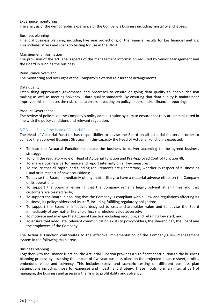## Experience monitoring

The analysis of the demographic experience of the Company's business including mortality and lapses.

#### Business planning

Financial business planning, including five year projections, of the financial results for key financial metrics. This includes stress and scenario testing for use in the ORSA.

#### Management information

The provision of the actuarial aspects of the management information required by Senior Management and the Board in running the business.

#### Reinsurance oversight

The monitoring and oversight of the Company's external reinsurance arrangements.

#### Data quality

Establishing appropriate governance and processes to ensure on-going data quality to enable decision making as well as meeting Solvency II data quality standards. By ensuring that data quality is maintained/ improved this minimises the risks of data errors impacting on policyholders and/or financial reporting.

#### Product Governance

The review of policies on the Company's policy administration system to ensure that they are administered in line with the policy conditions and relevant regulation.

## B.7.3 Role of the Head of Actuarial Function

The Head of Actuarial Function has responsibility to advise the Board on all actuarial matters in order to achieve the approved Business Strategy. In this capacity the Head of Actuarial Function is expected:

- To lead the Actuarial Function to enable the business to deliver according to the agreed business strategy;
- To fulfil the regulatory role of Head of Actuarial Function and Pre-Approved Control Function 48;
- To analyse business performance and report internally on all key measures;
- To ensure that all capital and funding requirements are understood, whether in respect of business as usual or in respect of new acquisitions;
- To advise the Board immediately of any matter likely to have a material adverse effect on the Company or its operations;
- To support the Board in ensuring that the Company remains legally solvent at all times and that customers are treated fairly;
- To support the Board in ensuring that the Company is compliant with all law and regulations affecting its business, its policyholders and its staff, including fulfilling regulatory obligations;
- To support the Board in initiatives designed to create shareholder value and to advise the Board immediately of any matter likely to affect shareholder value adversely;
- To motivate and manage the Actuarial Function including recruiting and retaining key staff; and
- To ensure that adequate, relevant communication exists to policyholders, the shareholder, the Board and the employees of the Company.

The Actuarial Function contributes to the effective implementation of the Company's risk management system in the following main areas:

## **Business planning**

Together with the Finance function, the Actuarial Function provides a significant contribution to the business planning process by assessing the impact of five year business plans on the projected balance sheet, profits, embedded value and solvency. This includes stress and scenario testing on different business plan assumptions including those for expenses and investment strategy. These inputs form an integral part of managing the business and assessing the risks to profitability and solvency.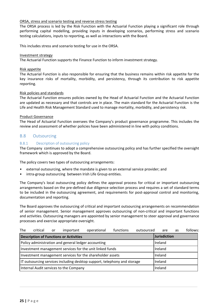## <span id="page-24-0"></span>ORSA, stress and scenario testing and reverse stress testing

The ORSA process is led by the Risk Function with the Actuarial Function playing a significant role through performing capital modelling, providing inputs in developing scenarios, performing stress and scenario testing calculations, inputs to reporting, as well as interactions with the Board.

This includes stress and scenario testing for use in the ORSA.

## Investment strategy

The Actuarial Function supports the Finance Function to inform investment strategy.

#### Risk appetite

The Actuarial Function is also responsible for ensuring that the business remains within risk appetite for the key insurance risks of mortality, morbidity, and persistency, through its contribution to risk appetite reporting. 

## Risk policies and standards

The Actuarial Function ensures policies owned by the Head of Actuarial Function and the Actuarial Function are updated as necessary and that controls are in place. The main standard for the Actuarial Function is the Life and Health Risk Management Standard used to manage mortality, morbidity, and persistency risk.

#### Product Governance

The Head of Actuarial Function oversees the Company's product governance programme. This includes the review and assessment of whether policies have been administered in line with policy conditions.

## B.8 Outsourcing

## B.8.1 Description of outsourcing policy

The Company continues to adopt a comprehensive outsourcing policy and has further specified the oversight framework which is approved by the Board.

The policy covers two types of outsourcing arrangements:

- external outsourcing, where the mandate is given to an external service provider; and
- intra-group outsourcing between Irish Life Group entities.

The Company's local outsourcing policy defines the approval process for critical or important outsourcing arrangements based on the pre-defined due diligence selection process and requires a set of standard terms to be included in the outsourcing agreement, and requirements for post-approval control and monitoring, documentation and reporting.

The Board approves the outsourcing of critical and important outsourcing arrangements on recommendation of senior management. Senior management approves outsourcing of non-critical and important functions and activities. Outsourcing managers are appointed by senior management to steer approval and governance processes and exercise appropriate oversight.

| The                                                                      | critical | or | important                                           | operational | functions | outsourced | are          | as | follows: |
|--------------------------------------------------------------------------|----------|----|-----------------------------------------------------|-------------|-----------|------------|--------------|----|----------|
|                                                                          |          |    | <b>Description of Functions or Activities</b>       |             |           |            | Jurisdiction |    |          |
|                                                                          |          |    | Policy administration and general ledger accounting |             |           |            | Ireland      |    |          |
| Investment management services for the unit linked funds                 |          |    |                                                     | Ireland     |           |            |              |    |          |
| Investment management services for the shareholder assets                |          |    |                                                     | Ireland     |           |            |              |    |          |
| IT outsourcing services including desktop support, telephony and storage |          |    |                                                     | Ireland     |           |            |              |    |          |
| Internal Audit services to the Company                                   |          |    |                                                     | Ireland     |           |            |              |    |          |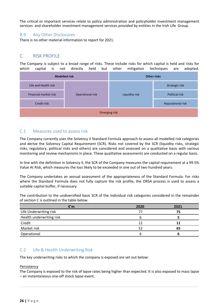<span id="page-25-0"></span>The critical or important services relate to policy administration and policyholder investment management services and shareholder investment management services provided by entities in the Irish Life Group.

## B.9 Any Other Disclosures

There is no other material information to report for 2021.

# C. RISK PROFILE

The Company is subject to a broad range of risks. These include risks for which capital is held and risks for which capital is not directly held but other mitigation techniques are adopted.

| <b>Modelled risk</b> |                                                                            | <b>Other risks</b> |                          |  |
|----------------------|----------------------------------------------------------------------------|--------------------|--------------------------|--|
| Life and Health risk | Financial market risk<br>Operational risk<br>Liquidity risk<br>Credit risk |                    | Strategic risk           |  |
|                      |                                                                            |                    | <b>Political risk</b>    |  |
|                      |                                                                            |                    | <b>Reputational risk</b> |  |
| <b>Emerging risk</b> |                                                                            |                    |                          |  |

## C.1 Measures used to assess risk

The Company currently uses the Solvency II Standard Formula approach to assess all modelled risk categories and derive the Solvency Capital Requirement (SCR). Risks not covered by the SCR (liquidity risks, strategic risks, regulatory, political risks and others) are considered and assessed on a qualitative basis with various monitoring and review mechanisms in place. These qualitative assessments are conducted on a regular basis.

In line with the definition in Solvency II, the SCR of the Company measures the capital requirement at a 99.5% Value At Risk, which measures the loss likely to be exceeded in one out of two hundred years.

The Company undertakes an annual assessment of the appropriateness of the Standard Formula. For risks where the Standard Formula does not fully capture the risk profile, the ORSA process is used to assess a suitable capital buffer, if necessary.

The contribution to the undiversified basic SCR of the individual risk categories considered in the remainder of section C is outlined in the table below.

| €′m                      | 2020 | 2021 |
|--------------------------|------|------|
| Life Underwriting risk   | 77   | 75   |
| Health underwriting risk |      |      |
| Credit                   | 12   |      |
| Market risk              | 52   | 65   |
| Operational              |      |      |

# C.2 Life & Health Underwriting Risk

The key underwriting risks to which the company is exposed are set out below:

#### Persistency

The Company is exposed to the risk of lapse rates being higher than expected. It is also exposed to mass lapse - an instantaneous one-off shock lapse event.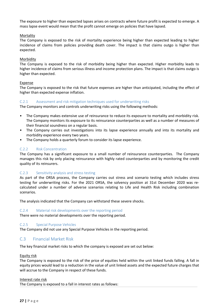<span id="page-26-0"></span>The exposure to higher than expected lapses arises on contracts where future profit is expected to emerge. A mass lapse event would mean that the profit cannot emerge on policies that have lapsed.

#### **Mortality**

The Company is exposed to the risk of mortality experience being higher than expected leading to higher incidence of claims from policies providing death cover. The impact is that claims outgo is higher than expected. 

#### Morbidity

The Company is exposed to the risk of morbidity being higher than expected. Higher morbidity leads to higher incidence of claims from serious illness and income protection plans. The impact is that claims outgo is higher than expected.

#### Expense

The Company is exposed to the risk that future expenses are higher than anticipated, including the effect of higher than expected expense inflation.

#### C.2.1 Assessment and risk mitigation techniques used for underwriting risks

The Company monitors and controls underwriting risks using the following methods:

- The Company makes extensive use of reinsurance to reduce its exposure to mortality and morbidity risk. The Company monitors its exposure to its reinsurance counterparties as well as a number of measures of their financial soundness on a regular basis.
- The Company carries out investigations into its lapse experience annually and into its mortality and morbidity experience every two years.
- The Company holds a quarterly forum to consider its lapse experience.

#### C.2.2 Risk Concentration

The Company has a significant exposure to a small number of reinsurance counterparties. The Company manages this risk by only placing reinsurance with highly rated counterparties and by monitoring the credit quality of its reinsurers.

## C.2.3 Sensitivity analysis and stress testing

As part of the ORSA process, the Company carries out stress and scenario testing which includes stress testing for underwriting risks. For the 2021 ORSA, the solvency position at 31st December 2020 was recalculated under a number of adverse scenarios relating to Life and Health Risk including combination scenarios. 

The analysis indicated that the Company can withstand these severe shocks.

#### C.2.4 Material risk developments over the reporting period

There were no material developments over the reporting period.

#### C.2.5 Special Purpose Vehicles

The Company did not use any Special Purpose Vehicles in the reporting period.

## C.3 Financial Market Risk

The key financial market risks to which the company is exposed are set out below:

#### Equity risk

The Company is exposed to the risk of the price of equities held within the unit linked funds falling. A fall in equity prices would lead to a reduction in the value of unit linked assets and the expected future charges that will accrue to the Company in respect of these funds.

#### Interest rate risk

The Company is exposed to a fall in interest rates as follows: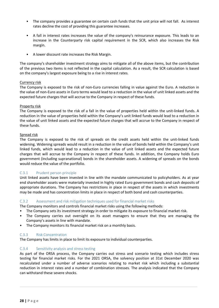- The company provides a guarantee on certain cash funds that the unit price will not fall. As interest rates decline the cost of providing this guarantee increases.
- A fall in interest rates increases the value of the company's reinsurance exposure. This leads to an increase in the Counterparty risk capital requirement in the SCR, which also increases the Risk margin.
- A lower discount rate increases the Risk Margin.

The company's shareholder investment strategy aims to mitigate all of the above items, but the contribution of the previous two items is not reflected in the capital calculation. As a result, the SCR calculation is based on the company's largest exposure being to a rise in interest rates.

## Currency risk

The Company is exposed to the risk of non-Euro currencies falling in value against the Euro. A reduction in the value of non-Euro assets in Euro terms would lead to a reduction in the value of unit linked assets and the expected future charges that will accrue to the Company in respect of these funds.

## Property risk

The Company is exposed to the risk of a fall in the value of properties held within the unit-linked funds. A reduction in the value of properties held within the Company's unit linked funds would lead to a reduction in the value of unit linked assets and the expected future charges that will accrue to the Company in respect of these funds.

## Spread risk

The Company is exposed to the risk of spreads on the credit assets held within the unit-linked funds widening. Widening spreads would result in a reduction in the value of bonds held within the Company's unit linked funds, which would lead to a reduction in the value of unit linked assets and the expected future charges that will accrue to the Company in respect of these funds. In addition, the Company holds Euro government (including supranational) bonds in the shareholder assets. A widening of spreads on the bonds would reduce the value of the portfolio.

## C.3.1 Prudent person principle

Unit linked assets have been invested in line with the mandate communicated to policyholders. As at year end shareholder assets were materially invested in highly rated Euro government bonds and cash deposits of appropriate durations. The Company has restrictions in place in respect of the assets in which investments may be made and has concentration limits in place in respect of both bond and cash counterparties.

## C.3.2 Assessment and risk mitigation techniques used for financial market risks

The Company monitors and controls financial market risks using the following methods:

- The Company sets its investment strategy in order to mitigate its exposure to financial market risk.
- The Company carries out oversight on its asset managers to ensure that they are managing the Company's assets in line with mandate.
- The Company monitors its financial market risk on a monthly basis.

## C.3.3 Risk Concentration

The Company has limits in place to limit its exposure to individual counterparties.

## C.3.4 Sensitivity analysis and stress testing

As part of the ORSA process, the Company carries out stress and scenario testing which includes stress testing for financial market risks. For the 2021 ORSA, the solvency position at 31st December 2020 was recalculated under a number of adverse scenarios relating to market risk which including a substantial reduction in interest rates and a number of combination stresses. The analysis indicated that the Company can withstand these severe shocks.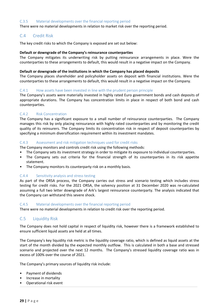#### <span id="page-28-0"></span>C.3.5 Material developments over the financial reporting period

There were no material developments in relation to market risk over the reporting period.

## C.4 Credit Risk

The key credit risks to which the Company is exposed are set out below:

#### Default or downgrade of the Company's reinsurance counterparties

The Company mitigates its underwriting risk by putting reinsurance arrangements in place. Were the counterparties to these arrangements to default, this would result in a negative impact on the Company.

#### Default or downgrade of the institutions in which the Company has placed deposits

The Company places shareholder and policyholder assets on deposit with financial institutions. Were the counterparties to these arrangements to default, this would result in a negative impact on the Company.

#### C.4.1 How assets have been invested in line with the prudent person principle

The Company's assets were materially invested in highly rated Euro government bonds and cash deposits of appropriate durations. The Company has concentration limits in place in respect of both bond and cash counterparties.

#### C.4.2 Risk Concentration

The Company has a significant exposure to a small number of reinsurance counterparties. The Company manages this risk by only placing reinsurance with highly rated counterparties and by monitoring the credit quality of its reinsurers. The Company limits its concentration risk in respect of deposit counterparties by specifying a minimum diversification requirement within its investment mandates.

#### C.4.3 Assessment and risk mitigation techniques used for credit risks

The Company monitors and controls credit risk using the following methods:

- The Company sets its investment strategy in order to mitigate its exposure to individual counterparties.
- The Company sets out criteria for the financial strength of its counterparties in its risk appetite statement.
- The Company monitors its counterparty risk on a monthly basis.

#### C.4.4 Sensitivity analysis and stress testing

As part of the ORSA process, the Company carries out stress and scenario testing which includes stress testing for credit risks. For the 2021 ORSA, the solvency position at 31 December 2020 was re-calculated assuming a full two letter downgrade of Ark's largest reinsurance counterparty. The analysis indicated that the Company can withstand this severe shock.

#### C.4.5 Material developments over the financial reporting period

There were no material developments in relation to credit risk over the reporting period.

## C.5 Liquidity Risk

The Company does not hold capital in respect of liquidity risk, however there is a framework established to ensure sufficient liquid assets are held at all times.

The Company's key liquidity risk metric is the liquidity coverage ratio, which is defined as liquid assets at the start of the month divided by the expected monthly outflow. This is calculated in both a base and stressed scenario and projected over the next 12 months. The Company's stressed liquidity coverage ratio was in excess of 100% over the course of 2021.

The Company's primary sources of liquidity risk include:

- Payment of dividends
- Increase in mortality
- Operational risk event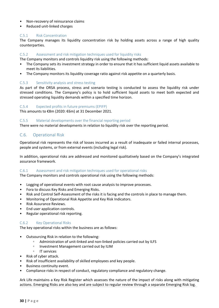- <span id="page-29-0"></span>Non-recovery of reinsurance claims
- Reduced unit-linked charges

## C.5.1 Risk Concentration

The Company manages its liquidity concentration risk by holding assets across a range of high quality counterparties.

## C.5.2 Assessment and risk mitigation techniques used for liquidity risks

The Company monitors and controls liquidity risk using the following methods:

- The Company sets its investment strategy in order to ensure that it has sufficient liquid assets available to meet its liabilities.
- The Company monitors its liquidity coverage ratio against risk appetite on a quarterly basis.

## C.5.3 Sensitivity analysis and stress testing

As part of the ORSA process, stress and scenario testing is conducted to assess the liquidity risk under stressed conditions. The Company's policy is to hold sufficient liquid assets to meet both expected and stressed operating liquidity demands within a specified time horizon.

## C.5.4 Expected profits in future premiums (EPIFP)

This amounts to  $€8m$  (2020:  $€6m$ ) at 31 December 2021.

## C.5.5 Material developments over the financial reporting period

There were no material developments in relation to liquidity risk over the reporting period.

# C.6. Operational Risk

Operational risk represents the risk of losses incurred as a result of inadequate or failed internal processes, people and systems, or from external events (including legal risk).

In addition, operational risks are addressed and monitored qualitatively based on the Company's integrated assurance framework.

## C.6.1 Assessment and risk mitigation techniques used for operational risks

The Company monitors and controls operational risk using the following methods:

- Logging of operational events with root cause analysis to improve processes.
- Fora to discuss Key Risks and Emerging Risks.
- Risk and Control Self-Assessment of the risks it is facing and the controls in place to manage them.
- Monitoring of Operational Risk Appetite and Key Risk Indicators.
- Risk Assurance Reviews.
- End user application controls.
- Regular operational risk reporting.

## C.6.2 Key Operational Risks

The key operational risks within the business are as follows:

- Outsourcing Risk in relation to the following:
	- Administration of unit-linked and non-linked policies carried out by ILFS
	- Investment Management carried out by ILIM
	- IT services
- Risk of cyber attack.
- Risk of insufficient availability of skilled employees and key people.
- **Business continuity event.**
- Compliance risks in respect of conduct, regulatory compliance and regulatory change.

Ark Life maintains a Key Risk Register which assesses the nature of the impact of risks along with mitigating actions. Emerging Risks are also key and are subject to regular review through a separate Emerging Risk log.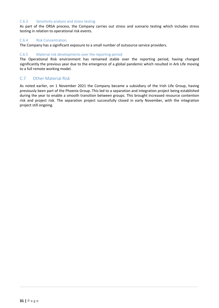## <span id="page-30-0"></span>C.6.3 Sensitivity analysis and stress testing

As part of the ORSA process, the Company carries out stress and scenario testing which includes stress testing in relation to operational risk events.

#### C.6.4 Risk Concentration

The Company has a significant exposure to a small number of outsource service providers.

## C.6.5 Material risk developments over the reporting period

The Operational Risk environment has remained stable over the reporting period, having changed significantly the previous year due to the emergence of a global pandemic which resulted in Ark Life moving to a full remote working model.

## C.7 Other Material Risk

As noted earlier, on 1 November 2021 the Company became a subsidiary of the Irish Life Group, having previously been part of the Phoenix Group. This led to a separation and integration project being established during the year to enable a smooth transition between groups. This brought increased resource contention risk and project risk. The separation project successfully closed in early November, with the integration project still ongoing.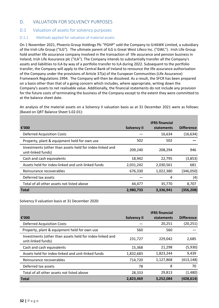# <span id="page-31-0"></span>D. VALUATION FOR SOLVENCY PURPOSES

# D.1 Valuation of assets for solvency purposes

## D.1.1 Methods applied for valuation of material assets

On 1 November 2021, Phoenix Group Holdings Plc "PGHP" sold the Company to ILHAWK Limited, a subsidiary of the Irish Life Group ("ILG"). The ultimate parent of ILG is Great West Lifeco Inc. ("GWL"). Irish Life Group hold another life assurance company involved in the transaction of life assurance and pension business in Ireland, Irish Life Assurance plc ("ILA"). The Company intends to substantially transfer all the Company's assets and liabilities to ILA by way of a portfolio transfer to ILA during 2022. Subsequent to the portfolio transfer, the Company will apply to the Central Bank of Ireland to renounce the life assurance authorisation of the Company under the provisions of Article 37(a) of the European Communities (Life Assurance) Framework Regulations 1994. The Company will then be dissolved. As a result, the SFCR has been prepared on a basis other than that of a going concern which includes, where appropriate, writing down the Company's assets to net realisable value. Additionally, the financial statements do not include any provision for the future costs of terminating the business of the Company except to the extent they were committed to at the balance sheet date.

An analysis of the material assets on a Solvency II valuation basis as at 31 December 2021 were as follows: (Based on QRT Balance Sheet S.02.01):

|                                                                                |                    | <b>IFRS financial</b> |                   |
|--------------------------------------------------------------------------------|--------------------|-----------------------|-------------------|
| €'000                                                                          | <b>Solvency II</b> | statements            | <b>Difference</b> |
| <b>Deferred Acquisition Costs</b>                                              |                    | 16,634                | (16, 634)         |
| Property, plant & equipment held for own use                                   | 502                | 502                   |                   |
| Investments (other than assets held for index-linked and<br>unit-linked funds) | 209,240            | 208,294               | 946               |
| Cash and cash equivalents                                                      | 18,942             | 22,795                | (3,853)           |
| Assets held for index-linked and unit-linked funds                             | 2,031,242          | 2,030,561             | 681               |
| Reinsurance recoverables                                                       | 676,330            | 1,022,380             | (346,050)         |
| Deferred tax assets                                                            |                    | 4                     | (4)               |
| Total of all other assets not listed above                                     | 44,477             | 35,770                | 8,707             |
| <b>Total</b>                                                                   | 2,980,733          | 3,336,941             | (356, 208)        |

Solvency Il valuation basis at 31 December 2020:

| €'000                                                                          | <b>Solvency II</b> | <b>IFRS</b> financial<br>statements | <b>Difference</b> |
|--------------------------------------------------------------------------------|--------------------|-------------------------------------|-------------------|
| <b>Deferred Acquisition Costs</b>                                              |                    | 20,251                              | (20, 251)         |
| Property, plant & equipment held for own use                                   | 560                | 560                                 |                   |
| Investments (other than assets held for index-linked and<br>unit-linked funds) | 231,727            | 229,042                             | 2,685             |
| Cash and cash equivalents                                                      | 15,368             | 21,298                              | (5,930)           |
| Assets held for index-linked and unit-linked funds                             | 1,832,683          | 1,823,244                           | 9,439             |
| Reinsurance recoverables                                                       | 714,720            | 1,127,868                           | (413, 148)        |
| Deferred tax assets                                                            | 78                 | 8                                   | 70                |
| Total of all other assets not listed above                                     | 28,333             | 29,813                              | (1,480)           |
| <b>Total</b>                                                                   | 2,823,469          | 3,252,084                           | (428, 614)        |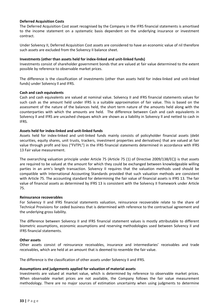## **Deferred Acquisition Costs**

The Deferred Acquisition Cost asset recognised by the Company in the IFRS financial statements is amortised to the income statement on a systematic basis dependent on the underlying insurance or investment contract.

Under Solvency II, Deferred Acquisition Cost assets are considered to have an economic value of nil therefore such assets are excluded from the Solvency II balance sheet.

## **Investments (other than assets held for index-linked and unit-linked funds)**

Investments consist of shareholder government bonds that are valued at fair value determined to the extent possible by reference to observable market prices.

The difference is the classification of investments (other than assets held for index-linked and unit-linked funds) under Solvency II and IFRS.

#### **Cash and cash equivalents**

Cash and cash equivalents are valued at nominal value. Solvency II and IFRS financial statements values for such cash as the amount held under IFRS is a suitable approximation of fair value. This is based on the assessment of the nature of the balances held, the short term nature of the amounts held along with the counterparties with which the amounts are held. The difference between Cash and cash equivalents in Solvency II and IFRS are uncashed cheques which are shown as a liability in Solvency II and netted to cash in IFRS.

## Assets held for index-linked and unit-linked funds

Assets held for index-linked and unit-linked funds mainly consists of policyholder financial assets (debt securities, equity shares, unit trusts, trackers, investment properties and derivatives) that are valued at fair value through profit and loss ("FVTPL") in the IFRS financial statements determined in accordance with IFRS 13 Fair value measurement.

The overarching valuation principle under Article  $75$  (Article  $75$  (1) of Directive 2009/138/EC)) is that assets are required to be valued at the amount for which they could be exchanged between knowledgeable willing parties in an arm's length transaction. Solvency II requires that the valuation methods used should be compatible with International Accounting Standards provided that such valuation methods are consistent with Article 75. The accounting standard for determining the fair value of financial assets is IFRS 13. The fair value of financial assets as determined by IFRS 13 is consistent with the Solvency II framework under Article 75. 

#### **Reinsurance recoverables**

For Solvency II and IFRS financial statements valuation, reinsurance recoverable relate to the share of Technical Provisions for ceded business that is determined with reference to the contractual agreement and the underlying gross liability.

The difference between Solvency II and IFRS financial statement values is mostly attributable to different biometric assumptions, economic assumptions and reserving methodologies used between Solvency II and IFRS financial statements.

#### **Other** assets

Other assets consist of reinsurance receivables, insurance and intermediaries' receivables and trade receivables, which are held at an amount that is deemed to resemble the fair value.

The difference is the classification of other assets under Solvency II and IFRS.

## Assumptions and judgements applied for valuation of material assets

Investments are valued at market value, which is determined by reference to observable market prices. When observable market prices are not available, the Company follows the fair value measurement methodology. There are no major sources of estimation uncertainty when using judgments to determine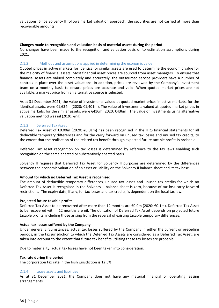valuations. Since Solvency II follows market valuation approach, the securities are not carried at more than recoverable amounts.

#### Changes made to recognition and valuation basis of material assets during the period

No changes have been made to the recognition and valuation basis or to estimation assumptions during 2021.

#### D.1.2 Methods and assumptions applied in determining the economic value

Quoted prices in active markets for identical or similar assets are used to determine the economic value for the majority of financial assets. Most financial asset prices are sourced from asset managers. To ensure that financial assets are valued completely and accurately, the outsourced service providers have a number of controls in place over the asset valuations. In addition, prices are reviewed by the Company's investment team on a monthly basis to ensure prices are accurate and valid. When quoted market prices are not available, a market price from an alternative source is selected.

As at 31 December 2021, the value of investments valued at quoted market prices in active markets, for the identical assets, were €1,634m (2020: €1,401m). The value of investments valued at quoted market prices in active markets, for the similar assets, were €416m (2020: €436m). The value of investments using alternative valuation method was nil (2020: €nil).

## D.1.3 Deferred Tax Asset

Deferred Tax Asset of €0.00m (2020: €0.01m) has been recognised in the IFRS financial statements for all deductible temporary differences and for the carry forward on unused tax losses and unused tax credits, to the extent that the realisation of the related tax benefit through expected future taxable profits is probable.

Deferred Tax Asset recognition on tax losses is determined by reference to the tax laws enabling such recognition on the same enacted or substantively enacted basis.

Solvency II requires that Deferred Tax Asset for Solvency II purposes are determined by the differences between the economic valuation of an asset or liability on the Solvency II balance sheet and its tax base.

#### Amount for which no Deferred Tax Asset is recognised

The amount of deductible temporary differences, unused tax losses and unused tax credits for which no Deferred Tax Asset is recognised in the Solvency II balance sheet is zero, because of tax loss carry forward restrictions. The expiry date, if any, for tax losses and tax credits, is dependent on the local tax law.

#### **Projected future taxable profits**

Deferred Tax Asset to be recovered after more than 12 months are €0.0m (2020: €0.1m). Deferred Tax Asset to be recovered within 12 months are nil. The utilisation of Deferred Tax Asset depends on projected future taxable profits, including those arising from the reversal of existing taxable temporary differences.

#### **Actual tax losses suffered by the Company**

Under general circumstances, actual tax losses suffered by the Company in either the current or preceding periods, in the tax jurisdiction to which the Deferred Tax Assets are considered as a Deferred Tax Asset, are taken into account to the extent that future tax benefits utilising these tax losses are probable.

Due to materiality, actual tax losses have not been taken into consideration.

#### **Tax rate during the period**

The corporation tax rate in the Irish jurisdiction is 12.5%.

#### D.1.4 Lease assets and liabilities

As at 31 December 2021, the Company does not have any material financial or operating leasing arrangements.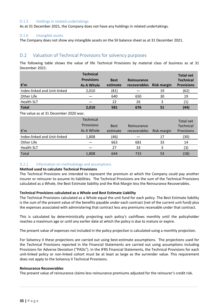## <span id="page-34-0"></span>D.1.5 Holdings in related undertakings

As at 31 December 2021, the Company does not have any holdings in related undertakings.

## D.1.6 Intangible assets

The Company does not show any intangible assets on the SII balance sheet as at 31 December 2021.

# D.2 Valuation of Technical Provisions for solvency purposes

The following table shows the value of life Technical Provisions by material class of business as at 31 December 2021:

| €′m                          | <b>Technical</b><br><b>Provisions</b><br><b>As A Whole</b> | <b>Best</b><br>estimate | Reinsurance<br>recoverables | <b>Risk margin</b> | <b>Total net</b><br><b>Technical</b><br><b>Provisions</b> |
|------------------------------|------------------------------------------------------------|-------------------------|-----------------------------|--------------------|-----------------------------------------------------------|
| Index-linked and Unit-linked | 2,010                                                      | (81)                    |                             | 19                 | (62)                                                      |
| Other Life                   |                                                            | 640                     | 650                         | 30                 | 19                                                        |
| <b>Health SLT</b>            |                                                            | 22                      | 26                          |                    |                                                           |
| <b>Total</b>                 | 2,010                                                      | 581                     | 676                         | 51                 | (44)                                                      |

The value as at 31 December  $2020$  was:

|                              | <b>Technical</b><br>Provisions | <b>Best</b> | Reinsurance  |             | Total net<br>Technical |
|------------------------------|--------------------------------|-------------|--------------|-------------|------------------------|
| €'m                          | As A Whole                     | estimate    | recoverables | Risk margin | Provisions             |
| Index-linked and Unit-linked | 1,808                          | (46)        |              | 17          | (30)                   |
| Other Life                   |                                | 663         | 681          | 33          | 14                     |
| <b>Health SLT</b>            |                                | 27          | 33           |             | (3)                    |
| Total                        | 1,808                          | 644         | 715          | 53          | (18)                   |

## D.2.1 Information on methodology and assumptions

## **Method used to calculate Technical Provisions**

The Technical Provisions are intended to represent the premium at which the Company could pay another insurer or reinsurer to assume its liabilities. The Technical Provisions are the sum of the Technical Provisions calculated as a Whole, the Best Estimate liability and the Risk Margin less the Reinsurance Recoverables.

## **Technical Provisions calculated as a Whole and Best Estimate Liability**

The Technical Provisions calculated as a Whole equal the unit fund for each policy. The Best Estimate liability is the sum of the present value of the benefits payable under each contract (net of the current unit fund) plus the expenses associated with administering that contract less any premiums receivable under that contract.

This is calculated by deterministically projecting each policy's cashflows monthly until the policyholder reaches a maximum age or until any earlier date at which the policy is due to mature or expire.

The present value of expenses not included in the policy projection is calculated using a monthly projection.

For Solvency II these projections are carried out using best-estimate assumptions. The projections used for the Technical Provisions reported in the Financial Statements are carried out using assumptions including Provisions for Adverse Deviation ("PADs"). In the IFRS Financial Statements, the Technical Provisions for each unit-linked policy or non-linked cohort must be at least as large as the surrender value. This requirement does not apply to the Solvency II Technical Provisions.

#### **Reinsurance Recoverables**

The present value of reinsurance claims less reinsurance premiums adjusted for the reinsurer's credit risk.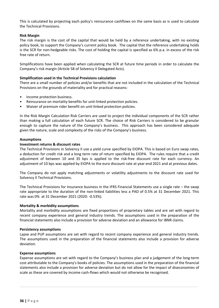This is calculated by projecting each policy's reinsurance cashflows on the same basis as is used to calculate the Technical Provisions.

## **Risk Margin**

The risk margin is the cost of the capital that would be held by a reference undertaking, with no existing policy book, to support the Company's current policy book. The capital that the reference undertaking holds is the SCR for non-hedgeable risks. The cost of holding the capital is specified as  $6\%$  p.a. in excess of the risk free rate of return.

Simplifications have been applied when calculating the SCR at future time periods in order to calculate the Company's risk margin (Article 58 of Solvency II Delegated Acts).

## **Simplification used in the Technical Provisions calculation**

There are a small number of policies and/or benefits that are not included in the calculation of the Technical Provisions on the grounds of materiality and for practical reasons:

- Income protection business.
- Reinsurance on mortality benefits for unit-linked protection policies.
- Waiver of premium rider benefit on unit-linked protection policies.

In the Risk Margin Calculation Risk Carriers are used to project the individual components of the SCR rather than making a full calculation of each future SCR. The choice of Risk Carriers is considered to be granular enough to capture the nature of the Company's business. This approach has been considered adequate given the nature, scale and complexity of the risks of the Company's business.

## **Assumptions**

## **Investment returns & discount rates**

The Technical Provisions in Solvency II use a yield curve specified by EIOPA. This is based on Euro swap rates, a deduction for credit risk and a long term rate of return specified by EIOPA. The rules require that a credit adjustment of between 10 and 35 bps is applied to the risk-free discount rate for each currency. An adjustment of 10 bps was applied by EIOPA to the euro discount rate at year end 2021 and at previous dates.

The Company do not apply matching adjustments or volatility adjustments to the discount rate used for Solvency II Technical Provisions.

The Technical Provisions for Insurance business in the IFRS Financial Statements use a single rate  $-$  the swap rate appropriate to the duration of the non-linked liabilities less a PAD of 0.5% at 31 December 2021. This rate was 0% at 31 December 2021 (2020: -0.53%).

## **Mortality & morbidity assumptions**

Mortality and morbidity assumptions are fixed proportions of proprietary tables and are set with regard to recent company experience and general industry trends. The assumptions used in the preparation of the financial statements also include a provision for adverse deviation and an allowance for IBNR claims.

#### **Persistency assumptions**

Lapse and PUP assumptions are set with regard to recent company experience and general industry trends. The assumptions used in the preparation of the financial statements also include a provision for adverse deviation. 

#### **Expense assumptions**

Expense assumptions are set with regard to the Company's business plan and a judgement of the long-term cost attributable to the Company's books of policies. The assumptions used in the preparation of the financial statements also include a provision for adverse deviation but do not allow for the impact of diseconomies of scale as these are covered by income cash-flows which would not otherwise be recognised.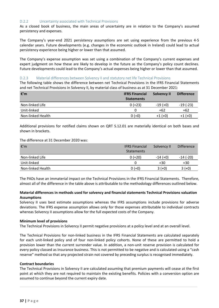## D.2.2 Uncertainty associated with Technical Provisions

As a closed book of business, the main areas of uncertainty are in relation to the Company's assumed persistency and expenses.

The Company's year-end 2021 persistency assumptions are set using experience from the previous 4-5 calendar years. Future developments (e.g. changes in the economic outlook in Ireland) could lead to actual persistency experience being higher or lower than that assumed.

The Company's expense assumption was set using a combination of the Company's current expenses and expert judgment on how these are likely to develop in the future as the Company's policy count declines. Future developments could lead to the Company's actual expenses being higher or lower than that assumed.

## D.2.3 Material differences between Solvency II and statutory net life Technical Provisions

The following table shows the difference between net Technical Provisions in the IFRS Financial Statements and net Technical Provisions in Solvency II, by material class of business as at 31 December 2021:

| €′m               | <b>IFRS Financial</b><br><b>Statements</b> | <b>Solvency II</b> | <b>Difference</b> |
|-------------------|--------------------------------------------|--------------------|-------------------|
| Non-linked Life   | $0 (+23)$                                  | $-19(+0)$          | $-19(-23)$        |
| Unit-linked       | 0                                          | +62                | $+62$             |
| Non-linked Health | $0 (+0)$                                   | $+1(+0)$           | $+1 (+0)$         |

Additional provisions for notified claims shown on QRT S.12.01 are materially identical on both bases and shown in brackets.

## The difference at 31 December 2020 was:

| €′m               | <b>IFRS Financial</b><br>Statements | Solvency II | <b>Difference</b> |
|-------------------|-------------------------------------|-------------|-------------------|
| Non-linked Life   | $0 (+20)$                           | $-14(+0)$   | $-14$ (-20)       |
| Unit-linked       | 0                                   | $+30$       | $+30$             |
| Non-linked Health | $0 (+0)$                            | $3 (+0)$    | $3 (+0)$          |

The PADs have an immaterial impact on the Technical Provisions in the IFRS Financial Statements. Therefore, almost all of the difference in the table above is attributable to the methodology differences outlined below.

## **Material differences in methods used for solvency and financial statements Technical Provisions valuation Assumptions**

Solvency II uses best estimate assumptions whereas the IFRS assumptions include provisions for adverse deviations. The IFRS expense assumption allows only for those expenses attributable to individual contracts whereas Solvency II assumptions allow for the full expected costs of the Company.

## **Minimum level of provisions**

The Technical Provisions in Solvency II permit negative provisions at a policy level and at an overall level.

The Technical Provisions for non-linked business in the IFRS Financial Statements are calculated separately for each unit-linked policy and of four non-linked policy cohorts. None of these are permitted to hold a provision lower than the current surrender value. In addition, a non-unit reserve provision is calculated for every policy classed as Insurance business. This is not permitted to be negative and is calculated using a "cash reserve" method so that any projected strain not covered by preceding surplus is recognised immediately.

## **Contract boundaries**

The Technical Provisions in Solvency II are calculated assuming that premium payments will cease at the first point at which they are not required to maintain the existing benefits. Policies with a conversion option are assumed to continue beyond the current expiry date.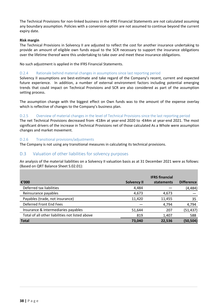<span id="page-37-0"></span>The Technical Provisions for non-linked business in the IFRS Financial Statements are not calculated assuming any boundary assumption. Policies with a conversion option are not assumed to continue beyond the current expiry date.

#### **Risk margin**

The Technical Provisions in Solvency II are adjusted to reflect the cost for another insurance undertaking to provide an amount of eligible own funds equal to the SCR necessary to support the insurance obligations over the lifetime thereof were this undertaking to take over and meet these insurance obligations.

No such adjustment is applied in the IFRS Financial Statements.

#### D.2.4 Rationale behind material changes in assumptions since last reporting period

Solvency II assumptions are best-estimate and take regard of the Company's recent, current and expected future experience. In addition, a number of external environment factors including potential emerging trends that could impact on Technical Provisions and SCR are also considered as part of the assumption setting process.

The assumption change with the biggest effect on Own funds was to the amount of the expense overlay which is reflective of changes to the Company's business plan.

#### D.2.5 Overview of material changes in the level of Technical Provisions since the last reporting period

The net Technical Provisions decreased from -€18m at year-end 2020 to -€44m at year-end 2021. The most significant drivers of the increase in Technical Provisions net of those calculated As a Whole were assumption changes and market movement.

## D.2.6 Transitional provisions/adjustments

The Company is not using any transitional measures in calculating its technical provisions.

## D.3 Valuation of other liabilities for solvency purposes

An analysis of the material liabilities on a Solvency II valuation basis as at 31 December 2021 were as follows: (Based on QRT Balance Sheet S.02.01):

| €'000                                           | <b>Solvency II</b> | <b>IFRS</b> financial<br>statements | <b>Difference</b> |
|-------------------------------------------------|--------------------|-------------------------------------|-------------------|
| Deferred tax liabilities                        | 4,484              |                                     | (4, 484)          |
| Reinsurance payables                            | 4,673              | 4,673                               |                   |
| Payables (trade, not insurance)                 | 11,420             | 11,455                              | 35                |
| Deferred Front End Fees                         |                    | 4,794                               | 4,794             |
| Insurance & intermediaries payables             | 51,644             | 207                                 | (51, 437)         |
| Total of all other liabilities not listed above | 819                | 1,407                               | 588               |
| <b>Total</b>                                    | 73,040             | 22,536                              | (50, 504)         |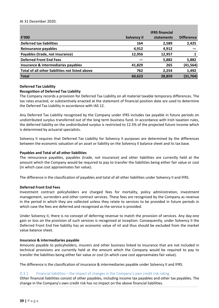#### At 31 December 2020:

| €'000                                           | <b>Solvency II</b> | <b>IFRS</b> financial<br>statements | <b>Difference</b> |
|-------------------------------------------------|--------------------|-------------------------------------|-------------------|
| <b>Deferred tax liabilities</b>                 | 164                | 2,589                               | 2,425             |
| <b>Reinsurance payables</b>                     | 4,912              | 4,912                               |                   |
| Payables (trade, not insurance)                 | 12,956             | 12,957                              |                   |
| <b>Deferred Front End Fees</b>                  |                    | 5,882                               | 5,882             |
| Insurance & intermediaries payables             | 41,829             | 265                                 | (41, 564)         |
| Total of all other liabilities not listed above | 762                | 2,254                               | 1,492             |
| <b>Total</b>                                    | 60,623             | 28,859                              | (31, 764)         |

#### **Deferred Tax Liability**

#### **Recognition of Deferred Tax Liability**

The Company records a provision for Deferred Tax Liability on all material taxable temporary differences. The tax rates enacted, or substantively enacted at the statement of financial position date are used to determine the Deferred Tax Liability in accordance with IAS 12.

Any Deferred Tax Liability recognised by the Company under IFRS includes tax payable in future periods on undistributed surplus transferred out of the long term business fund. In accordance with Irish taxation rules, the deferred liability on the undistributed surplus is restricted to 12.5% of the projected future income which is determined by actuarial specialists.

Solvency II requires that Deferred Tax Liability for Solvency II purposes are determined by the differences between the economic valuation of an asset or liability on the Solvency II balance sheet and its tax base.

#### **Payables and Total of all other liabilities**

The reinsurance payables, payables (trade, not insurance) and other liabilities are currently held at the amount which the Company would be required to pay to transfer the liabilities being either fair value or cost (in which case cost approximates fair value).

The difference is the classification of payables and total of all other liabilities under Solvency II and IFRS.

#### **Deferred Front End Fees**

Investment contract policyholders are charged fees for mortality, policy administration, investment management, surrenders and other contract services. These fees are recognised by the Company as revenue in the period in which they are collected unless they relate to services to be provided in future periods in which case the fees are deferred and recognised as the service is provided.

Under Solvency II, there is no concept of deferring revenue to match the provision of services. Any day-one gain or loss on the provision of such services is recognised at inception. Consequently, under Solvency II the Deferred Front End Fee liability has an economic value of nil and thus should be excluded from the market value balance sheet.

#### **Insurance & intermediaries payable**

Amounts payable to policyholders, insurers and other business linked to insurance that are not included in technical provisions are currently held at the amount which the Company would be required to pay to transfer the liabilities being either fair value or cost (in which case cost approximates fair value).

The difference is the classification of insurance & intermediaries payable under Solvency II and IFRS.

#### D.3.1 Financial liabilities – the impact of changes in the Company's own credit risk rating

Other financial liabilities consist of other payables, including income tax payables and other tax payables. The change in the Company's own credit risk has no impact on the above financial liabilities.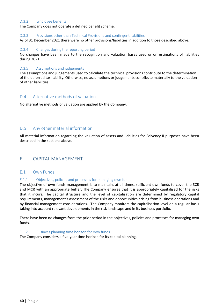## <span id="page-39-0"></span>D.3.2 Employee benefits

The Company does not operate a defined benefit scheme.

#### D.3.3 Provisions other than Technical Provisions and contingent liabilities

As of 31 December 2021 there were no other provisions/liabilities in addition to those described above.

#### D.3.4 Changes during the reporting period

No changes have been made to the recognition and valuation bases used or on estimations of liabilities during 2021.

## D.3.5 Assumptions and judgements

The assumptions and judgements used to calculate the technical provisions contribute to the determination of the deferred tax liability. Otherwise, no assumptions or judgements contribute materially to the valuation of other liabilities.

## D.4 Alternative methods of valuation

No alternative methods of valuation are applied by the Company.

## D.5 Any other material information

All material information regarding the valuation of assets and liabilities for Solvency II purposes have been described in the sections above.

# E. CAPITAL MANAGEMENT

## E.1 Own Funds

## E.1.1 Objectives, policies and processes for managing own funds

The objective of own funds management is to maintain, at all times, sufficient own funds to cover the SCR and MCR with an appropriate buffer. The Company ensures that it is appropriately capitalised for the risks that it incurs. The capital structure and the level of capitalisation are determined by regulatory capital requirements, management's assessment of the risks and opportunities arising from business operations and by financial management considerations. The Company monitors the capitalisation level on a regular basis taking into account relevant developments in the risk landscape and in its business portfolio.

There have been no changes from the prior period in the objectives, policies and processes for managing own funds. 

#### E.1.2 Business planning time horizon for own funds

The Company considers a five-year time horizon for its capital planning.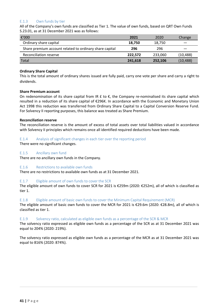# E.1.3 Own funds by tier

All of the Company's own funds are classified as Tier 1. The value of own funds, based on QRT Own Funds S.23.01, as at 31 December 2021 was as follows:

| €'000                                                   | 2021    | 2020    | Change    |
|---------------------------------------------------------|---------|---------|-----------|
| Ordinary share capital                                  | 18.750  | 18,750  |           |
| Share premium account related to ordinary share capital | 296     | 296     |           |
| Reconciliation reserve                                  | 222.572 | 233.060 | (10, 488) |
| Total                                                   | 241,618 | 252.106 | (10, 488) |

## **Ordinary Share Capital**

This is the total amount of ordinary shares issued are fully paid, carry one vote per share and carry a right to dividends. 

## **Share Premium account**

On redenomination of its share capital from IR  $E$  to  $E$ , the Company re-nominalised its share capital which resulted in a reduction of its share capital of €296K. In accordance with the Economic and Monetary Union Act 1998 this reduction was transferred from Ordinary Share Capital to a Capital Conversion Reserve Fund. For Solvency II reporting purposes, this balance was treated as Share Premium.

## **Reconciliation reserve**

The reconciliation reserve is the amount of excess of total assets over total liabilities valued in accordance with Solvency II principles which remains once all identified required deductions have been made.

## E.1.4 Analysis of significant changes in each tier over the reporting period

There were no significant changes.

## E.1.5 Ancillary own fund

There are no ancillary own funds in the Company.

## E.1.6 Restrictions to available own funds

There are no restrictions to available own funds as at 31 December 2021.

## E.1.7 Eligible amount of own funds to cover the SCR

The eligible amount of own funds to cover SCR for 2021 is €259m (2020: €252m), all of which is classified as tier 1.

## E.1.8 Eligible amount of basic own funds to cover the Minimum Capital Requirement (MCR)

The eligible amount of basic own funds to cover the MCR for 2021 is €29.6m (2020: €28.8m), all of which is classified as tier 1.

## E.1.9 Solvency ratio, calculated as eligible own funds as a percentage of the SCR & MCR

The solvency ratio expressed as eligible own funds as a percentage of the SCR as at 31 December 2021 was equal to 204% (2020: 219%).

The solvency ratio expressed as eligible own funds as a percentage of the MCR as at 31 December 2021 was equal to 816% (2020: 874%).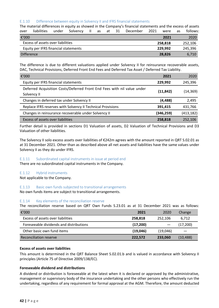## E.1.10 Difference between equity in Solvency II and IFRS financial statements

The material differences in equity as showed in the Company's financial statements and the excess of assets over liabilities under Solvency II as at 31 December 2021 were as follows: €'000 **2021** 2020 Excess of assets over liabilities **by a contract of the CSC 258,818 252,106** Equity per IFRS financial statements  **229,992**  245,396 **Difference 28,826 6,710** 

The difference is due to different valuations applied under Solvency II for reinsurance recoverable assets, DAC, Technical Provisions, Deferred Front End Fees and Deferred Tax Asset / Deferred Tax Liability.

| €'000                                                                                  | 2021       | 2020       |
|----------------------------------------------------------------------------------------|------------|------------|
| Equity per IFRS financial statements                                                   | 229,992    | 245,396    |
| Deferred Acquisition Costs/Deferred Front End Fees with nil value under<br>Solvency II | (11, 842)  | (14,369)   |
| Changes in deferred tax under Solvency II                                              | (4, 488)   | 2,495      |
| Replace IFRS reserves with Solvency II Technical Provisions                            | 391,415    | 431,766    |
| Changes in reinsurance recoverable under Solvency II                                   | (346, 259) | (413, 182) |
| Excess of assets over liabilities                                                      | 258,818    | 252,106    |

Further detail is provided in sections D1 Valuation of assets, D2 Valuation of Technical Provisions and D3 Valuation of other liabilities.

The Solvency II solo excess assets over liabilities of  $\epsilon$ 242m agrees with the amount reported in QRT S.02.01 as at 31 December 2021. Other than as described above all net assets and liabilities have the same values under Solvency II as they do under IFRS.

## E.1.11 Subordinated capital instruments in issue at period end

There are no subordinated capital instruments in the Company.

## E.1.12 Hybrid instruments

Not applicable to the Company.

## E.1.13 Basic own funds subjected to transitional arrangements

No own funds items are subject to transitional arrangements.

## E.1.14 Key elements of the reconciliation reserve

The reconciliation reserve based on QRT Own Funds S.23.01 as at 31 December 2021 was as follows:

| €'000                                   | 2021     | 2020     | Change    |
|-----------------------------------------|----------|----------|-----------|
| Excess of assets over liabilities       | 258,818  | 252,106  | 6,712     |
| Foreseeable dividends and distributions | (17,200) |          | (17,200)  |
| Other basic own fund items              | (19,046) | (19,046) |           |
| Reconciliation reserve                  | 222,572  | 233,060  | (10, 488) |

#### **Excess of assets over liabilities**

This amount is determined in the QRT Balance Sheet S.02.01.b and is valued in accordance with Solvency II principles (Article 75 of Directive 2009/138/EC).

## **Foreseeable dividend and distributions**

A dividend or distribution is foreseeable at the latest when it is declared or approved by the administrative, management or supervisory body of the insurance undertaking and the other persons who effectively run the undertaking, regardless of any requirement for formal approval at the AGM. Therefore, the amount deducted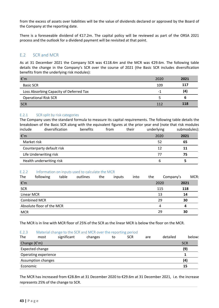<span id="page-42-0"></span>from the excess of assets over liabilities will be the value of dividends declared or approved by the Board of the Company at the reporting date.

There is a foreseeable dividend of  $£17.2m$ . The capital policy will be reviewed as part of the ORSA 2021 process and the outlook for a dividend payment will be revisited at that point.

# E.2 SCR and MCR

As at 31 December 2021 the Company SCR was €118.4m and the MCR was €29.6m. The following table details the change in the Company's SCR over the course of 2021 (the Basic SCR includes diversification benefits from the underlying risk modules):

| €′m                                     | 2020 | 2021 |
|-----------------------------------------|------|------|
| <b>Basic SCR</b>                        | 109  | 117  |
| Loss Absorbing Capacity of Deferred Tax | - 1  | (4)  |
| <b>Operational Risk SCR</b>             |      |      |
| <b>SCR</b>                              | 112  | 118  |

## E.2.1 SCR split by risk categories

The Company uses the standard formula to measure its capital requirements. The following table details the breakdown of the Basic SCR along with the equivalent figures at the prior year end (note that risk modules include diversification benefits from their underlying submodules):

| €′m                       | 2020 | 2021 |
|---------------------------|------|------|
| Market risk               | 52   | 65   |
| Counterparty default risk | 12   |      |
| Life Underwriting risk    | 77   | 75   |
| Health underwriting risk  | h    |      |

## E.2.2 Information on inputs used to calculate the MCR

| The             | following                 | table | outlines | the | inputs | into | the | Company's |      | MCR: |
|-----------------|---------------------------|-------|----------|-----|--------|------|-----|-----------|------|------|
| $\mathbf{f}'$ m |                           |       |          |     |        |      |     | 2020      | 2021 |      |
| <b>SCR</b>      |                           |       |          |     |        |      |     | 115       | 118  |      |
| Linear MCR      |                           |       |          |     |        |      |     | 13        | 14   |      |
|                 | <b>Combined MCR</b>       |       |          |     |        |      |     | 29        | 30   |      |
|                 | Absolute floor of the MCR |       |          |     |        |      |     | 4         | Δ    |      |
| <b>MCR</b>      |                           |       |          |     |        |      |     | 29        | 30   |      |

The MCR is in line with MCR floor of 25% of the SCR as the linear MCR is below the floor on the MCR.

#### E.2.3 Material change to the SCR and MCR over the reporting period

| The                         | most                   | significant | changes | to | <b>SCR</b> | are | detailed | below:     |
|-----------------------------|------------------------|-------------|---------|----|------------|-----|----------|------------|
| Change $(\epsilon'm)$       |                        |             |         |    |            |     |          | <b>SCR</b> |
|                             | (9)<br>Expected change |             |         |    |            |     |          |            |
| <b>Operating experience</b> |                        |             |         |    |            |     |          |            |
| Assumption changes          |                        |             |         |    |            |     |          | (4)        |
| Economic                    |                        |             |         |    |            |     |          | 15         |

The MCR has increased from €28.8m at 31 December 2020 to €29.6m at 31 December 2021, i.e. the increase represents 25% of the change to SCR.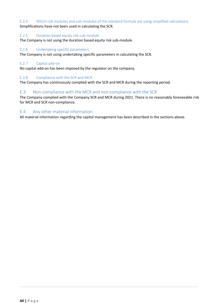<span id="page-43-0"></span>E.2.4 Which risk modules and sub-modules of the standard formula are using simplified calculations Simplifications have not been used in calculating the SCR.

## E.2.5 Duration based equity risk sub-module

The Company is not using the duration based equity risk sub-module.

## E.2.6 Undertaking specific parameters

The Company is not using undertaking specific parameters in calculating the SCR.

## E.2.7 Capital add-on

No capital add-on has been imposed by the regulator on the company.

## E.2.8 Compliance with the SCR and MCR

The Company has continuously complied with the SCR and MCR during the reporting period.

# E.3 Non-compliance with the MCR and non-compliance with the SCR

The Company complied with the Company SCR and MCR during 2021. There is no reasonably foreseeable risk for MCR and SCR non-compliance.

# E.4 Any other material information

All material information regarding the capital management has been described in the sections above.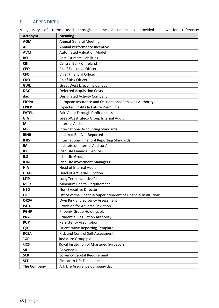# <span id="page-44-0"></span>F. APPENDICES

| <b>Acronym</b>     | <b>Meaning</b>                                                   |
|--------------------|------------------------------------------------------------------|
| <b>AGM</b>         | <b>Annual General Meeting</b>                                    |
| <b>API</b>         | Annual Performance Incentive                                     |
| <b>AVM</b>         | <b>Automated Valuation Model</b>                                 |
| <b>BEL</b>         | <b>Best Estimate Liabilities</b>                                 |
| <b>CBI</b>         | Central Bank of Ireland                                          |
| <b>CEO</b>         | <b>Chief Executive Officer</b>                                   |
| <b>CFO</b>         | <b>Chief Financial Officer</b>                                   |
| <b>CRO</b>         | <b>Chief Risk Officer</b>                                        |
| <b>GWL</b>         | Great West Lifeco Inc Canada                                     |
| <b>DAC</b>         | <b>Deferred Acquisition Costs</b>                                |
| dac                | <b>Designated Activity Company</b>                               |
| <b>EIOPA</b>       | European Insurance and Occupational Pensions Authority           |
| <b>EPIFP</b>       | <b>Expected Profits In Future Premiums</b>                       |
| <b>FVTPL</b>       | Fair Value Through Profit or Loss                                |
| <b>GIA</b>         | Great-West Lifeco Group Internal Audit                           |
| IA                 | <b>Internal Audit</b>                                            |
| <b>IAS</b>         | <b>International Accounting Standards</b>                        |
| <b>IBNR</b>        | Incurred But Not Reported                                        |
| <b>IFRS</b>        | <b>International Financial Reporting Standards</b>               |
| <b>IIA</b>         | Institute of Internal Auditors'                                  |
| <b>ILFS</b>        | <b>Irish Life Financial Services</b>                             |
| <b>ILG</b>         | Irish Life Group                                                 |
| <b>ILIM</b>        | Irish Life Investment Managers                                   |
| <b>HIA</b>         | <b>Head of Internal Audit</b>                                    |
| <b>HOAF</b>        | <b>Head of Actuarial Function</b>                                |
| <b>LTIP</b>        | Long Term Incentive Plan                                         |
| <b>MCR</b>         | Minimum Capital Requirement                                      |
| <b>NED</b>         | Non-Executive Director                                           |
| <b>OFSI</b>        | Office of the Financial Superintendent of Financial Institutions |
| <b>ORSA</b>        | Own Risk and Solvency Assessment                                 |
| <b>PAD</b>         | <b>Provision for Adverse Deviation</b>                           |
| <b>PGHP</b>        | Phoenix Group Holdings plc                                       |
| <b>PRA</b>         | <b>Prudential Regulation Authority</b>                           |
| <b>PUP</b>         | Persistency Assumption                                           |
| <b>QRT</b>         | <b>Quantitative Reporting Template</b>                           |
| <b>RCSA</b>        | <b>Risk and Control Self-Assessment</b>                          |
| <b>RGP</b>         | ReAssure Group plc                                               |
| <b>RICS</b>        | Royal Institution of Chartered Surveyors                         |
| <b>SII</b>         | Solvency II                                                      |
| <b>SCR</b>         | <b>Solvency Capital Requirement</b>                              |
| <b>SLT</b>         | Similar to Life Technique                                        |
| <b>The Company</b> | Ark Life Assurance Company dac                                   |

A glossary of terms used throughout the document is provided below for reference: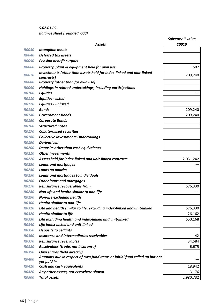*S.02.01.02* **Balance sheet (rounded '000)** 

|                     |                                                                                           | <b>Solvency II value</b> |
|---------------------|-------------------------------------------------------------------------------------------|--------------------------|
|                     | <b>Assets</b>                                                                             | C0010                    |
| <b>RO030</b>        | Intangible assets                                                                         |                          |
| <b>R0040</b>        | <b>Deferred tax assets</b>                                                                |                          |
| <b>ROO50</b>        | <b>Pension benefit surplus</b>                                                            |                          |
| <b>ROO60</b>        | Property, plant & equipment held for own use                                              | 502                      |
| <b>R0070</b>        | Investments (other than assets held for index-linked and unit-linked<br>contracts)        | 209,240                  |
| <i><b>ROO80</b></i> | Property (other than for own use)                                                         |                          |
| <b>ROO90</b>        | Holdings in related undertakings, including participations                                |                          |
| <b>R0100</b>        | <b>Equities</b>                                                                           |                          |
| <b>R0110</b>        | <b>Equities - listed</b>                                                                  |                          |
| <b>R0120</b>        | <b>Equities - unlisted</b>                                                                |                          |
| <b>R0130</b>        | <b>Bonds</b>                                                                              | 209,240                  |
| <b>R0140</b>        | <b>Government Bonds</b>                                                                   | 209,240                  |
| <b>R0150</b>        | <b>Corporate Bonds</b>                                                                    |                          |
| <b>R0160</b>        | <b>Structured notes</b>                                                                   |                          |
| <b>R0170</b>        | <b>Collateralised securities</b>                                                          |                          |
| <b>R0180</b>        | <b>Collective Investments Undertakings</b>                                                |                          |
| <b>R0190</b>        | <b>Derivatives</b>                                                                        |                          |
| <b>R0200</b>        | Deposits other than cash equivalents                                                      |                          |
| <b>RO210</b>        | <b>Other investments</b>                                                                  |                          |
| <b>R0220</b>        | Assets held for index-linked and unit-linked contracts                                    | 2,031,242                |
| <b>R0230</b>        | <b>Loans and mortgages</b>                                                                |                          |
| <b>R0240</b>        | Loans on policies                                                                         |                          |
| <b>R0250</b>        | Loans and mortgages to individuals                                                        |                          |
| <b>R0260</b>        | <b>Other loans and mortgages</b>                                                          |                          |
| <b>R0270</b>        | Reinsurance recoverables from:                                                            | 676,330                  |
| <b>R0280</b>        | Non-life and health similar to non-life                                                   |                          |
| <b>R0290</b>        | <b>Non-life excluding health</b>                                                          |                          |
| <b>R0300</b>        | <b>Health similar to non-life</b>                                                         |                          |
| <b>R0310</b>        | Life and health similar to life, excluding index-linked and unit-linked                   | 676,330                  |
| <b>R0320</b>        | <b>Health similar to life</b>                                                             | 26,162                   |
| <b>R0330</b>        | Life excluding health and index-linked and unit-linked                                    | 650,168                  |
| <b>R0340</b>        | Life index-linked and unit-linked                                                         |                          |
| <b>R0350</b>        | <b>Deposits to cedants</b>                                                                |                          |
| <b>R0360</b>        | Insurance and intermediaries receivables                                                  | 42                       |
| <b>R0370</b>        | Reinsurance receivables                                                                   | 34,584                   |
| <b>R0380</b>        | Receivables (trade, not insurance)                                                        | 6,675                    |
| <b>R0390</b>        | <b>Own shares (held directly)</b>                                                         |                          |
| <b>R0400</b>        | Amounts due in respect of own fund items or initial fund called up but not<br>yet paid in |                          |
| <b>R0410</b>        | Cash and cash equivalents                                                                 | 18,942                   |
| <b>R0420</b>        | Any other assets, not elsewhere shown                                                     | 3,176                    |
| <b>R0500</b>        | <b>Total assets</b>                                                                       | 2,980,732                |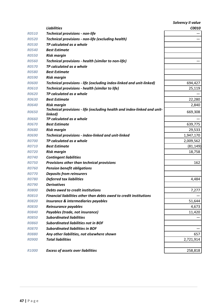|              |                                                                                     | Solvency II value |
|--------------|-------------------------------------------------------------------------------------|-------------------|
|              | <b>Liabilities</b>                                                                  | C0010             |
| <b>R0510</b> | <b>Technical provisions - non-life</b>                                              |                   |
| <b>R0520</b> | Technical provisions - non-life (excluding health)                                  |                   |
| <b>R0530</b> | TP calculated as a whole                                                            |                   |
| <b>R0540</b> | <b>Best Estimate</b>                                                                |                   |
| <b>R0550</b> | <b>Risk margin</b>                                                                  |                   |
| <b>R0560</b> | Technical provisions - health (similar to non-life)                                 |                   |
| <b>R0570</b> | TP calculated as a whole                                                            |                   |
| <b>R0580</b> | <b>Best Estimate</b>                                                                |                   |
| <b>R0590</b> | <b>Risk margin</b>                                                                  |                   |
| <b>R0600</b> | Technical provisions - life (excluding index-linked and unit-linked)                | 694,427           |
| <b>RO610</b> | Technical provisions - health (similar to life)                                     | 25,119            |
| <b>R0620</b> | TP calculated as a whole                                                            |                   |
| <b>R0630</b> | <b>Best Estimate</b>                                                                | 22,280            |
| <b>R0640</b> | <b>Risk margin</b>                                                                  | 2,840             |
| <b>R0650</b> | Technical provisions - life (excluding health and index-linked and unit-<br>linked) | 669,308           |
| <b>R0660</b> | TP calculated as a whole                                                            |                   |
| <b>R0670</b> | <b>Best Estimate</b>                                                                | 639,775           |
| <b>R0680</b> | <b>Risk margin</b>                                                                  | 29,533            |
| <b>R0690</b> | <b>Technical provisions - index-linked and unit-linked</b>                          | 1,947,170         |
| <b>R0700</b> | TP calculated as a whole                                                            | 2,009,562         |
| <b>R0710</b> | <b>Best Estimate</b>                                                                | (81, 149)         |
| <b>R0720</b> | <b>Risk margin</b>                                                                  | 18,758            |
| <b>R0740</b> | <b>Contingent liabilities</b>                                                       |                   |
| <b>R0750</b> | Provisions other than technical provisions                                          | 162               |
| <b>R0760</b> | <b>Pension benefit obligations</b>                                                  |                   |
| <b>R0770</b> | <b>Deposits from reinsurers</b>                                                     |                   |
| <b>R0780</b> | <b>Deferred tax liabilities</b>                                                     | 4,484             |
| <b>R0790</b> | <b>Derivatives</b>                                                                  |                   |
| <b>R0800</b> | Debts owed to credit institutions                                                   | 7,277             |
| <b>R0810</b> | Financial liabilities other than debts owed to credit institutions                  |                   |
| <b>R0820</b> | Insurance & intermediaries payables                                                 | 51,644            |
| <b>R0830</b> | Reinsurance payables                                                                | 4,673             |
| <b>R0840</b> | Payables (trade, not insurance)                                                     | 11,420            |
| <b>R0850</b> | <b>Subordinated liabilities</b>                                                     |                   |
| <b>R0860</b> | <b>Subordinated liabilities not in BOF</b>                                          |                   |
| <b>R0870</b> | <b>Subordinated liabilities in BOF</b>                                              |                   |
| <b>R0880</b> | Any other liabilities, not elsewhere shown                                          | 657               |
| <b>R0900</b> | <b>Total liabilities</b>                                                            | 2,721,914         |
| <b>R1000</b> | <b>Excess of assets over liabilities</b>                                            | 258,818           |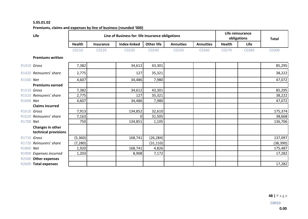## **S.05.01.02**

# Premiums, claims and expenses by line of business (rounded '000)

| Life |               | Line of Business for: life insurance obligations | Life reinsurance<br>obligations |                   | <b>Total</b>     |                  |        |       |                   |
|------|---------------|--------------------------------------------------|---------------------------------|-------------------|------------------|------------------|--------|-------|-------------------|
|      | <b>Health</b> | Insurance                                        | Index-linked                    | <b>Other life</b> | <b>Annuities</b> | <b>Annuities</b> | Health | Life  |                   |
|      | 0210          | 0220                                             | 20230                           | C0240             | 0250             | C0260            | 20270  | CO280 | C <sub>0300</sub> |

## **Premiums written**

|           | R1410 Gross                              | 7,382    | 34,612   | 43,301    |  | 85,295    |
|-----------|------------------------------------------|----------|----------|-----------|--|-----------|
|           | R1420 Reinsurers' share                  | 2,775    | 127      | 35,321    |  | 38,222    |
| R1500 Net |                                          | 4,607    | 34,486   | 7,980     |  | 47,072    |
|           | <b>Premiums earned</b>                   |          |          |           |  |           |
|           | R1510 Gross                              | 7,382    | 34,612   | 43,301    |  | 85,295    |
|           | R1520 Reinsurers' share                  | 2,775    | 127      | 35,321    |  | 38,222    |
| R1600 Net |                                          | 4,607    | 34,486   | 7,980     |  | 47,072    |
|           | <b>Claims incurred</b>                   |          |          |           |  |           |
|           | R1610 Gross                              | 7,913    | 134,852  | 32,610    |  | 175,374   |
|           | R1620 Reinsurers' share                  | 7,163    | $\Omega$ | 31,505    |  | 38,668    |
| R1700 Net |                                          | 750      | 134,851  | 1,105     |  | 136,706   |
|           | Changes in other<br>technical provisions |          |          |           |  |           |
|           | R1710 Gross                              | (5,360)  | 168,741  | (26, 284) |  | 137,097   |
|           | R1720 Reinsurers' share                  | (7, 280) |          | (31, 110) |  | (38, 390) |
| R1800 Net |                                          | 1,920    | 168,741  | 4,826     |  | 175,487   |
|           | R1900 Expenses incurred                  | 1,203    | 8,908    | 7,172     |  | 17,282    |
|           | R2500 Other expenses                     |          |          |           |  |           |
|           | R2600 Total expenses                     |          |          |           |  | 17,282    |
|           |                                          |          |          |           |  |           |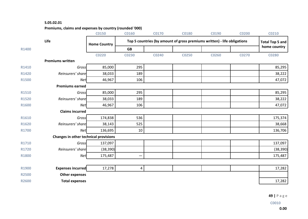## **S.05.02.01**

**Premiums, claims and expenses by country (rounded '000)** 

|              |                                       | <b>C0150</b>        | <b>C0160</b> | <b>C0170</b>                                                             | <b>C0180</b> | C0190 | <b>C0200</b> | <b>CO210</b> |  |
|--------------|---------------------------------------|---------------------|--------------|--------------------------------------------------------------------------|--------------|-------|--------------|--------------|--|
|              | Life                                  | <b>Home Country</b> |              | Top 5 countries (by amount of gross premiums written) - life obligations |              |       |              |              |  |
| R1400        |                                       |                     | <b>GB</b>    |                                                                          |              |       |              | home country |  |
|              |                                       | <b>CO220</b>        | <b>CO230</b> | C0240                                                                    | <b>C0250</b> | C0260 | C0270        | <b>C0280</b> |  |
|              | <b>Premiums written</b>               |                     |              |                                                                          |              |       |              |              |  |
| R1410        | Gross                                 | 85,000              | 295          |                                                                          |              |       |              | 85,295       |  |
| R1420        | Reinsurers' share                     | 38,033              | 189          |                                                                          |              |       |              | 38,222       |  |
| <b>R1500</b> | Net                                   | 46,967              | 106          |                                                                          |              |       |              | 47,072       |  |
|              | <b>Premiums earned</b>                |                     |              |                                                                          |              |       |              |              |  |
| <b>R1510</b> | Gross                                 | 85,000              | 295          |                                                                          |              |       |              | 85,295       |  |
| <b>R1520</b> | Reinsurers' share                     | 38,033              | 189          |                                                                          |              |       |              | 38,222       |  |
| R1600        | <b>Net</b>                            | 46,967              | 106          |                                                                          |              |       |              | 47,072       |  |
|              | <b>Claims incurred</b>                |                     |              |                                                                          |              |       |              |              |  |
| R1610        | Gross                                 | 174,838             | 536          |                                                                          |              |       |              | 175,374      |  |
| R1620        | Reinsurers' share                     | 38,143              | 525          |                                                                          |              |       |              | 38,668       |  |
| R1700        | <b>Net</b>                            | 136,695             | 10           |                                                                          |              |       |              | 136,706      |  |
|              | Changes in other technical provisions |                     |              |                                                                          |              |       |              |              |  |
| <b>R1710</b> | Gross                                 | 137,097             |              |                                                                          |              |       |              | 137,097      |  |
| <b>R1720</b> | Reinsurers' share                     | (38, 390)           |              |                                                                          |              |       |              | (38, 390)    |  |
| <b>R1800</b> | <b>Net</b>                            | 175,487             |              |                                                                          |              |       |              | 175,487      |  |
|              |                                       |                     |              |                                                                          |              |       |              |              |  |
| R1900        | Expenses incurred                     | 17,278              | 4            |                                                                          |              |       |              | 17,282       |  |
| <b>R2500</b> | <b>Other expenses</b>                 |                     |              |                                                                          |              |       |              |              |  |
| <b>R2600</b> | <b>Total expenses</b>                 |                     |              |                                                                          |              |       |              | 17,282       |  |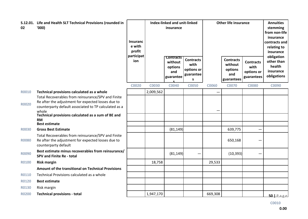| 02           | S.12.01. Life and Health SLT Technical Provisions (rounded in<br>'000                                                            | <b>Insuranc</b><br>e with<br>profit<br>participat | Index-linked and unit-linked<br>insurance |                                                            |                                                          | <b>Other life insurance</b> |                                                             |                                                      | <b>Annuities</b><br>stemming<br>from non-life<br>insurance<br>contracts and<br>relating to<br>insurance<br>obligation |
|--------------|----------------------------------------------------------------------------------------------------------------------------------|---------------------------------------------------|-------------------------------------------|------------------------------------------------------------|----------------------------------------------------------|-----------------------------|-------------------------------------------------------------|------------------------------------------------------|-----------------------------------------------------------------------------------------------------------------------|
|              |                                                                                                                                  | ion                                               |                                           | <b>Contracts</b><br>without<br>options<br>and<br>guarantee | <b>Contracts</b><br>with<br>options or<br>guarantee<br>S |                             | <b>Contracts</b><br>without<br>options<br>and<br>guarantees | <b>Contracts</b><br>with<br>options or<br>guarantees | other than<br>health<br>insurance<br>obligations                                                                      |
|              |                                                                                                                                  | <b>C0020</b>                                      | <b>C0030</b>                              | <b>C0040</b>                                               | <b>C0050</b>                                             | <b>C0060</b>                | <b>C0070</b>                                                | <b>C0080</b>                                         | <b>C0090</b>                                                                                                          |
| <b>R0010</b> | Technical provisions calculated as a whole                                                                                       |                                                   | 2,009,562                                 |                                                            |                                                          |                             |                                                             |                                                      |                                                                                                                       |
|              | Total Recoverables from reinsurance/SPV and Finite<br>Re after the adjustment for expected losses due to                         |                                                   |                                           |                                                            |                                                          |                             |                                                             |                                                      |                                                                                                                       |
| <b>R0020</b> | counterparty default associated to TP calculated as a                                                                            |                                                   |                                           |                                                            |                                                          |                             |                                                             |                                                      |                                                                                                                       |
|              | whole                                                                                                                            |                                                   |                                           |                                                            |                                                          |                             |                                                             |                                                      |                                                                                                                       |
|              | Technical provisions calculated as a sum of BE and<br><b>RM</b>                                                                  |                                                   |                                           |                                                            |                                                          |                             |                                                             |                                                      |                                                                                                                       |
|              | <b>Best estimate</b>                                                                                                             |                                                   |                                           |                                                            |                                                          |                             |                                                             |                                                      |                                                                                                                       |
| <b>R0030</b> | <b>Gross Best Estimate</b>                                                                                                       |                                                   |                                           | (81, 149)                                                  |                                                          |                             | 639,775                                                     |                                                      |                                                                                                                       |
| <b>R0080</b> | Total Recoverables from reinsurance/SPV and Finite<br>Re after the adjustment for expected losses due to<br>counterparty default |                                                   |                                           |                                                            |                                                          |                             | 650,168                                                     |                                                      |                                                                                                                       |
| <b>R0090</b> | Best estimate minus recoverables from reinsurance/<br><b>SPV and Finite Re - total</b>                                           |                                                   |                                           | (81, 149)                                                  |                                                          |                             | (10, 393)                                                   |                                                      |                                                                                                                       |
| <b>R0100</b> | <b>Risk margin</b>                                                                                                               |                                                   | 18,758                                    |                                                            |                                                          | 29,533                      |                                                             |                                                      |                                                                                                                       |
|              | Amount of the transitional on Technical Provisions                                                                               |                                                   |                                           |                                                            |                                                          |                             |                                                             |                                                      |                                                                                                                       |
| <b>R0110</b> | Technical Provisions calculated as a whole                                                                                       |                                                   |                                           |                                                            |                                                          |                             |                                                             |                                                      |                                                                                                                       |
| <b>R0120</b> | <b>Best estimate</b>                                                                                                             |                                                   |                                           |                                                            |                                                          |                             |                                                             |                                                      |                                                                                                                       |
| <b>R0130</b> | Risk margin                                                                                                                      |                                                   |                                           |                                                            |                                                          |                             |                                                             |                                                      |                                                                                                                       |
| <b>R0200</b> | <b>Technical provisions - total</b>                                                                                              |                                                   | 1,947,170                                 |                                                            |                                                          | 669,308                     |                                                             |                                                      | $50$   Page                                                                                                           |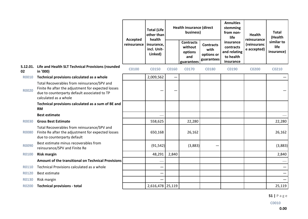|              |                                                                                                                                                                            |              | <b>Total (Life</b><br>other than<br>health          | <b>Health insurance (direct</b><br>business) |                                                             |                                                      | <b>Annuities</b><br>stemming<br>from non-<br>life                | <b>Health</b><br>reinsurance | <b>Total</b><br>(Health          |
|--------------|----------------------------------------------------------------------------------------------------------------------------------------------------------------------------|--------------|-----------------------------------------------------|----------------------------------------------|-------------------------------------------------------------|------------------------------------------------------|------------------------------------------------------------------|------------------------------|----------------------------------|
|              |                                                                                                                                                                            | Accepted     | reinsurance<br>insurance,<br>incl. Unit-<br>Linked) |                                              | <b>Contracts</b><br>without<br>options<br>and<br>guarantees | <b>Contracts</b><br>with<br>options or<br>guarantees | insurance<br>contracts<br>and relating<br>to health<br>insurance | (reinsuranc<br>e accepted)   | similar to<br>life<br>insurance) |
| 02           | S.12.01. Life and Health SLT Technical Provisions (rounded<br>in '000)                                                                                                     | <b>C0100</b> | <b>C0150</b>                                        | <b>C0160</b>                                 | <b>C0170</b>                                                | <b>C0180</b>                                         | C0190                                                            | <b>CO200</b>                 | <b>CO210</b>                     |
| <b>R0010</b> | Technical provisions calculated as a whole                                                                                                                                 |              | 2,009,562                                           |                                              |                                                             |                                                      |                                                                  |                              |                                  |
| <b>R0020</b> | Total Recoverables from reinsurance/SPV and<br>Finite Re after the adjustment for expected losses<br>due to counterparty default associated to TP<br>calculated as a whole |              |                                                     |                                              |                                                             |                                                      |                                                                  |                              |                                  |
|              | Technical provisions calculated as a sum of BE and<br><b>RM</b>                                                                                                            |              |                                                     |                                              |                                                             |                                                      |                                                                  |                              |                                  |
|              | <b>Best estimate</b>                                                                                                                                                       |              |                                                     |                                              |                                                             |                                                      |                                                                  |                              |                                  |
| <b>R0030</b> | <b>Gross Best Estimate</b>                                                                                                                                                 |              | 558,625                                             |                                              | 22,280                                                      |                                                      |                                                                  |                              | 22,280                           |
| <b>R0080</b> | Total Recoverables from reinsurance/SPV and<br>Finite Re after the adjustment for expected losses<br>due to counterparty default                                           |              | 650,168                                             |                                              | 26,162                                                      |                                                      |                                                                  |                              | 26,162                           |
| <b>R0090</b> | Best estimate minus recoverables from<br>reinsurance/SPV and Finite Re                                                                                                     |              | (91, 542)                                           |                                              | (3,883)                                                     |                                                      |                                                                  |                              | (3,883)                          |
| <b>R0100</b> | <b>Risk margin</b>                                                                                                                                                         |              | 48,291                                              | 2,840                                        |                                                             |                                                      |                                                                  |                              | 2,840                            |
|              | Amount of the transitional on Technical Provisions                                                                                                                         |              |                                                     |                                              |                                                             |                                                      |                                                                  |                              |                                  |
| <b>R0110</b> | Technical Provisions calculated as a whole                                                                                                                                 |              |                                                     |                                              |                                                             |                                                      |                                                                  |                              | $\qquad \qquad$                  |
| <b>R0120</b> | Best estimate                                                                                                                                                              |              |                                                     |                                              |                                                             |                                                      |                                                                  |                              | $\overline{\phantom{0}}$         |
| <b>R0130</b> | Risk margin                                                                                                                                                                |              |                                                     |                                              |                                                             |                                                      |                                                                  |                              |                                  |
| <b>R0200</b> | <b>Technical provisions - total</b>                                                                                                                                        |              | 2,616,478 25,119                                    |                                              |                                                             |                                                      |                                                                  |                              | 25,119                           |

**51 | P a g e**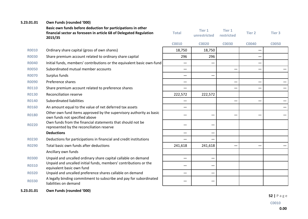| S.23.01.01   | Own Funds (rounded '000)                                                                                                                      |                          |                        |                             |               |                 |
|--------------|-----------------------------------------------------------------------------------------------------------------------------------------------|--------------------------|------------------------|-----------------------------|---------------|-----------------|
|              | Basic own funds before deduction for participations in other<br>financial sector as foreseen in article 68 of Delegated Regulation<br>2015/35 | <b>Total</b>             | Tier 1<br>unrestricted | <b>Tier 1</b><br>restricted | <b>Tier 2</b> | <b>Tier 3</b>   |
|              |                                                                                                                                               | <b>C0010</b>             | <b>C0020</b>           | <b>C0030</b>                | <b>C0040</b>  | <b>CO050</b>    |
| <b>R0010</b> | Ordinary share capital (gross of own shares)                                                                                                  | 18,750                   | 18,750                 |                             |               |                 |
| <b>R0030</b> | Share premium account related to ordinary share capital                                                                                       | 296                      | 296                    |                             |               |                 |
| <b>R0040</b> | Initial funds, members' contributions or the equivalent basic own-fund                                                                        |                          |                        |                             |               |                 |
| <b>R0050</b> | Subordinated mutual member accounts                                                                                                           | $\qquad \qquad$          |                        |                             |               |                 |
| <b>R0070</b> | Surplus funds                                                                                                                                 | $\overline{\phantom{0}}$ |                        |                             |               |                 |
| <b>R0090</b> | Preference shares                                                                                                                             |                          |                        | $\overline{\phantom{0}}$    |               | $\qquad \qquad$ |
| <b>R0110</b> | Share premium account related to preference shares                                                                                            |                          |                        |                             |               |                 |
| <b>R0130</b> | <b>Reconciliation reserve</b>                                                                                                                 | 222,572                  | 222,572                |                             |               |                 |
| <b>R0140</b> | Subordinated liabilities                                                                                                                      |                          |                        |                             |               |                 |
| <b>R0160</b> | An amount equal to the value of net deferred tax assets                                                                                       | $\overline{\phantom{0}}$ |                        |                             |               |                 |
| <b>R0180</b> | Other own fund items approved by the supervisory authority as basic<br>own funds not specified above                                          |                          |                        |                             |               |                 |
| <b>R0220</b> | Own funds from the financial statements that should not be<br>represented by the reconciliation reserve                                       |                          |                        |                             |               |                 |
|              | <b>Deductions</b>                                                                                                                             |                          |                        |                             |               |                 |
| <b>R0230</b> | Deductions for participations in financial and credit institutions                                                                            |                          |                        |                             |               |                 |
| <b>R0290</b> | Total basic own funds after deductions                                                                                                        | 241,618                  | 241,618                |                             |               | —               |
|              | Ancillary own funds                                                                                                                           |                          |                        |                             |               |                 |
| <b>R0300</b> | Unpaid and uncalled ordinary share capital callable on demand                                                                                 | —                        |                        |                             |               |                 |
| <b>R0310</b> | Unpaid and uncalled initial funds, members' contributions or the<br>equivalent basic own fund                                                 |                          |                        |                             |               |                 |
| <b>R0320</b> | Unpaid and uncalled preference shares callable on demand                                                                                      | $\overline{\phantom{0}}$ |                        |                             |               |                 |
| <b>R0330</b> | A legally binding commitment to subscribe and pay for subordinated<br>liabilities on demand                                                   |                          |                        |                             |               |                 |
|              |                                                                                                                                               |                          |                        |                             |               |                 |

**S.23.01.01 Own Funds (rounded '000)**

**52 | P a g e**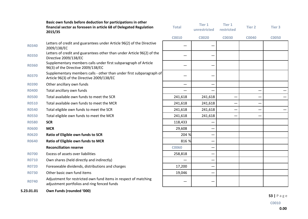|              | Basic own funds before deduction for participations in other<br>financial sector as foreseen in article 68 of Delegated Regulation<br>2015/35 | <b>Total</b>             | <b>Tier 1</b><br>unrestricted | <b>Tier 1</b><br>restricted | Tier 2       | Tier 3       |
|--------------|-----------------------------------------------------------------------------------------------------------------------------------------------|--------------------------|-------------------------------|-----------------------------|--------------|--------------|
|              |                                                                                                                                               | <b>C0010</b>             | <b>C0020</b>                  | <b>C0030</b>                | <b>C0040</b> | <b>CO050</b> |
| <b>R0340</b> | Letters of credit and guarantees under Article 96(2) of the Directive<br>2009/138/EC                                                          |                          |                               |                             |              |              |
| <b>R0350</b> | Letters of credit and guarantees other than under Article 96(2) of the<br>Directive 2009/138/EC                                               |                          |                               |                             |              |              |
| <b>R0360</b> | Supplementary members calls under first subparagraph of Article<br>96(3) of the Directive 2009/138/EC                                         |                          |                               |                             |              |              |
| <b>R0370</b> | Supplementary members calls - other than under first subparagraph of<br>Article 96(3) of the Directive 2009/138/EC                            |                          |                               |                             |              |              |
| <b>R0390</b> | Other ancillary own funds                                                                                                                     | $\overline{\phantom{0}}$ |                               |                             |              |              |
| <b>R0400</b> | Total ancillary own funds                                                                                                                     | —                        |                               |                             |              |              |
| <b>R0500</b> | Total available own funds to meet the SCR                                                                                                     | 241,618                  | 241,618                       | $\overline{\phantom{m}}$    |              |              |
| <b>R0510</b> | Total available own funds to meet the MCR                                                                                                     | 241,618                  | 241,618                       | —                           |              |              |
| <b>R0540</b> | Total eligible own funds to meet the SCR                                                                                                      | 241,618                  | 241,618                       |                             |              |              |
| <b>R0550</b> | Total eligible own funds to meet the MCR                                                                                                      | 241,618                  | 241,618                       |                             |              |              |
| <b>R0580</b> | <b>SCR</b>                                                                                                                                    | 118,433                  |                               |                             |              |              |
| <b>R0600</b> | <b>MCR</b>                                                                                                                                    | 29,608                   |                               |                             |              |              |
| <b>R0620</b> | Ratio of Eligible own funds to SCR                                                                                                            | 204 %                    |                               |                             |              |              |
| <b>R0640</b> | Ratio of Eligible own funds to MCR                                                                                                            | 816 %                    |                               |                             |              |              |
|              | <b>Reconciliation reserve</b>                                                                                                                 | <b>C0060</b>             |                               |                             |              |              |
| <b>R0700</b> | Excess of assets over liabilities                                                                                                             | 258,818                  |                               |                             |              |              |
| <b>R0710</b> | Own shares (held directly and indirectly)                                                                                                     |                          |                               |                             |              |              |
| <b>R0720</b> | Foreseeable dividends, distributions and charges                                                                                              | 17,200                   |                               |                             |              |              |
| <b>R0730</b> | Other basic own fund items                                                                                                                    | 19,046                   |                               |                             |              |              |
| <b>R0740</b> | Adjustment for restricted own fund items in respect of matching<br>adjustment portfolios and ring fenced funds                                |                          |                               |                             |              |              |
| S.23.01.01   | Own Funds (rounded '000)                                                                                                                      |                          |                               |                             |              |              |

**53 | P a g e**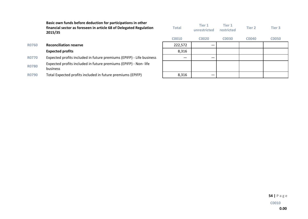**Basic own funds before deduction for participations in other** financial sector as foreseen in article 68 of Delegated Regulation **2015/35**

| <b>Total</b> | Tier 1<br>unrestricted | Tier 1<br>restricted | Tier 2       | Tier 3       |
|--------------|------------------------|----------------------|--------------|--------------|
| C0010        | <b>C0020</b>           | <b>C0030</b>         | <b>C0040</b> | <b>C0050</b> |
| 222,572      |                        |                      |              |              |
| 8,316        |                        |                      |              |              |
|              |                        |                      |              |              |
|              |                        |                      |              |              |
| 8,316        |                        |                      |              |              |

**R0760 Reconciliation reserve** 

## **Expected profits**

R0770 Expected profits included in future premiums (EPIFP) - Life business

R0780 Expected profits included in future premiums (EPIFP) - Non- life business

R0790 Total Expected profits included in future premiums (EPIFP)

**54 | P a g e**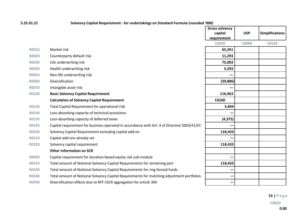## **S.25.01.21 Solvency Capital Requirement** - for undertakings on Standard Formula (rounded '000)

|              |                                                                                             | <b>Gross solvency</b><br>capital<br>requirement | <b>USP</b> | <b>Simplifications</b> |
|--------------|---------------------------------------------------------------------------------------------|-------------------------------------------------|------------|------------------------|
|              |                                                                                             | <b>C0040</b>                                    | C0090      | <b>CO120</b>           |
| <b>R0010</b> | Market risk                                                                                 | 65,261                                          |            |                        |
| <b>R0020</b> | Counterparty default risk                                                                   | 11,293                                          |            |                        |
| <b>R0030</b> | Life underwriting risk                                                                      | 75,003                                          |            |                        |
| <b>R0040</b> | Health underwriting risk                                                                    | 5,293                                           |            |                        |
| <b>R0050</b> | Non-life underwriting risk                                                                  |                                                 |            |                        |
| <b>R0060</b> | Diversification                                                                             | (39, 886)                                       |            |                        |
| <b>R0070</b> | Intangible asset risk                                                                       |                                                 |            |                        |
| <b>R0100</b> | <b>Basic Solvency Capital Requirement</b>                                                   | 116,963                                         |            |                        |
|              | <b>Calculation of Solvency Capital Requirement</b>                                          | C0100                                           |            |                        |
| <b>R0130</b> | Total Capital Requirement for operational risk                                              | 5,844                                           |            |                        |
| <b>R0140</b> | Loss-absorbing capacity of technical provisions                                             |                                                 |            |                        |
| <b>R0150</b> | Loss-absorbing capacity of deferred taxes                                                   | (4, 375)                                        |            |                        |
| <b>R0160</b> | Capital requirement for business operated in accordance with Art. 4 of Directive 2003/41/EC |                                                 |            |                        |
| <b>R0200</b> | Solvency Capital Requirement excluding capital add-on                                       | 118,433                                         |            |                        |
| <b>R0210</b> | Capital add-ons already set                                                                 |                                                 |            |                        |
| <b>R0220</b> | Solvency capital requirement                                                                | 118,433                                         |            |                        |
|              | <b>Other information on SCR</b>                                                             |                                                 |            |                        |
| <b>R0400</b> | Capital requirement for duration-based equity risk sub-module                               |                                                 |            |                        |
| <b>R0410</b> | Total amount of Notional Solvency Capital Requirements for remaining part                   | 118,433                                         |            |                        |
| <b>R0420</b> | Total amount of Notional Solvency Capital Requirements for ring fenced funds                |                                                 |            |                        |
| <b>R0430</b> | Total amount of Notional Solvency Capital Requirements for matching adjustment portfolios   |                                                 |            |                        |
| <b>R0440</b> | Diversification effects due to RFF nSCR aggregation for article 304                         |                                                 |            |                        |

**55 | P a g e**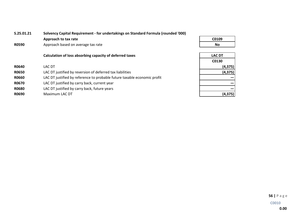| S.25.01.21   | Solvency Capital Requirement - for undertakings on Standard Formula (rounded '000) |               |  |  |  |  |  |
|--------------|------------------------------------------------------------------------------------|---------------|--|--|--|--|--|
|              | Approach to tax rate                                                               | C0109         |  |  |  |  |  |
| <b>R0590</b> | Approach based on average tax rate                                                 | No.           |  |  |  |  |  |
|              | Calculation of loss absorbing capacity of deferred taxes                           | <b>LAC DT</b> |  |  |  |  |  |
|              |                                                                                    | C0130         |  |  |  |  |  |
| <b>R0640</b> | LAC DT                                                                             | (4, 375)      |  |  |  |  |  |
| <b>R0650</b> | LAC DT justified by reversion of deferred tax liabilities                          | (4, 375)      |  |  |  |  |  |
| <b>R0660</b> | LAC DT justified by reference to probable future taxable economic profit           |               |  |  |  |  |  |
| R0670        | LAC DT justified by carry back, current year                                       |               |  |  |  |  |  |
| <b>R0680</b> | LAC DT justified by carry back, future years                                       |               |  |  |  |  |  |
| R0690        | Maximum LAC DT                                                                     | (4, 375)      |  |  |  |  |  |
|              |                                                                                    |               |  |  |  |  |  |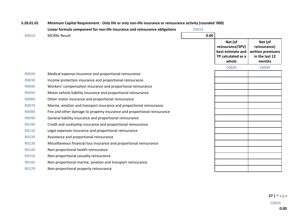| S.28.01.01   | Minimum Capital Requirement - Only life or only non-life insurance or reinsurance activity (rounded '000) |              |                                                                                 |                                                                         |  |  |  |  |
|--------------|-----------------------------------------------------------------------------------------------------------|--------------|---------------------------------------------------------------------------------|-------------------------------------------------------------------------|--|--|--|--|
|              | Linear formula component for non-life insurance and reinsurance obligations                               | <b>C0010</b> |                                                                                 |                                                                         |  |  |  |  |
| <b>R0010</b> | <b>MCRNL Result</b>                                                                                       | 0.00         |                                                                                 |                                                                         |  |  |  |  |
|              |                                                                                                           |              | Net (of<br>reinsurance/SPV)<br>best estimate and<br>TP calculated as a<br>whole | Net (of<br>reinsurance)<br>written premiums<br>in the last 12<br>months |  |  |  |  |
|              |                                                                                                           |              | <b>C0020</b>                                                                    | <b>CO030</b>                                                            |  |  |  |  |
| <b>R0020</b> | Medical expense insurance and proportional reinsurance                                                    |              |                                                                                 |                                                                         |  |  |  |  |
| <b>R0030</b> | Income protection insurance and proportional reinsurance                                                  |              |                                                                                 |                                                                         |  |  |  |  |
| <b>R0040</b> | Workers' compensation insurance and proportional reinsurance                                              |              |                                                                                 |                                                                         |  |  |  |  |
| <b>R0050</b> | Motor vehicle liability insurance and proportional reinsurance                                            |              |                                                                                 |                                                                         |  |  |  |  |
| <b>R0060</b> | Other motor insurance and proportional reinsurance                                                        |              |                                                                                 |                                                                         |  |  |  |  |
| <b>R0070</b> | Marine, aviation and transport insurance and proportional reinsurance                                     |              |                                                                                 |                                                                         |  |  |  |  |
| <b>R0080</b> | Fire and other damage to property insurance and proportional reinsurance                                  |              |                                                                                 |                                                                         |  |  |  |  |
| <b>R0090</b> | General liability insurance and proportional reinsurance                                                  |              |                                                                                 |                                                                         |  |  |  |  |
| <b>R0100</b> | Credit and suretyship insurance and proportional reinsurance                                              |              |                                                                                 |                                                                         |  |  |  |  |
| <b>R0110</b> | Legal expenses insurance and proportional reinsurance                                                     |              |                                                                                 |                                                                         |  |  |  |  |
| <b>R0120</b> | Assistance and proportional reinsurance                                                                   |              |                                                                                 |                                                                         |  |  |  |  |
| <b>R0130</b> | Miscellaneous financial loss insurance and proportional reinsurance                                       |              |                                                                                 |                                                                         |  |  |  |  |
| <b>R0140</b> | Non-proportional health reinsurance                                                                       |              |                                                                                 |                                                                         |  |  |  |  |
| <b>R0150</b> | Non-proportional casualty reinsurance                                                                     |              |                                                                                 |                                                                         |  |  |  |  |
| <b>R0160</b> | Non-proportional marine, aviation and transport reinsurance                                               |              |                                                                                 |                                                                         |  |  |  |  |
| <b>R0170</b> | Non-proportional property reinsurance                                                                     |              |                                                                                 |                                                                         |  |  |  |  |

**57 | P a g e**